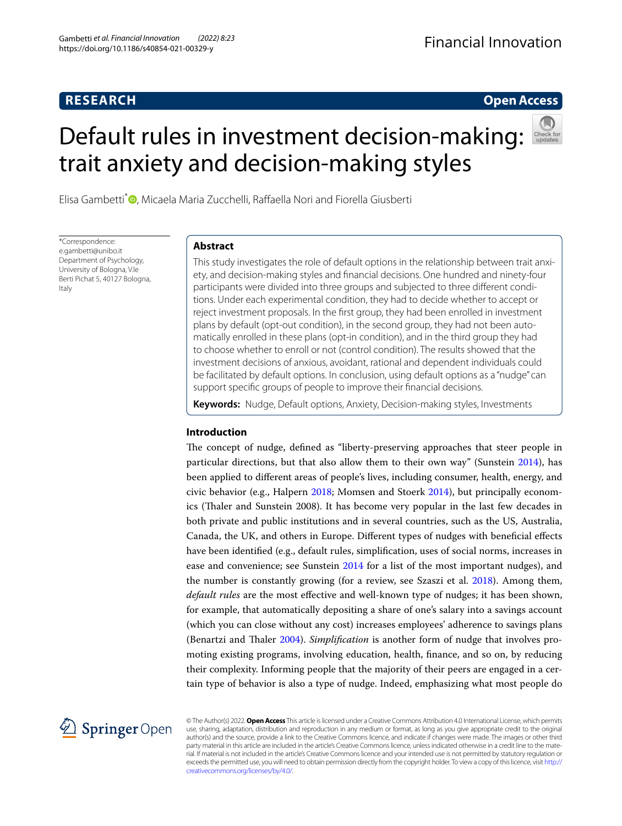## **RESEARCH**

## **Open Access**

# Default rules in investment decision-making: trait anxiety and decision‑making styles



Elisa Gambetti<sup>\*</sup><sup>®</sup>[,](http://orcid.org/0000-0002-1112-9796) Micaela Maria Zucchelli, Raffaella Nori and Fiorella Giusberti

\*Correspondence: e.gambetti@unibo.it Department of Psychology, University of Bologna, V.le Berti Pichat 5, 40127 Bologna, Italy

## **Abstract**

This study investigates the role of default options in the relationship between trait anxiety, and decision-making styles and fnancial decisions. One hundred and ninety-four participants were divided into three groups and subjected to three diferent conditions. Under each experimental condition, they had to decide whether to accept or reject investment proposals. In the frst group, they had been enrolled in investment plans by default (opt-out condition), in the second group, they had not been automatically enrolled in these plans (opt-in condition), and in the third group they had to choose whether to enroll or not (control condition). The results showed that the investment decisions of anxious, avoidant, rational and dependent individuals could be facilitated by default options. In conclusion, using default options as a "nudge" can support specifc groups of people to improve their fnancial decisions.

**Keywords:** Nudge, Default options, Anxiety, Decision-making styles, Investments

## **Introduction**

The concept of nudge, defined as "liberty-preserving approaches that steer people in particular directions, but that also allow them to their own way" (Sunstein [2014\)](#page-24-0), has been applied to diferent areas of people's lives, including consumer, health, energy, and civic behavior (e.g., Halpern [2018;](#page-23-0) Momsen and Stoerk [2014\)](#page-24-1), but principally economics (Taler and Sunstein 2008). It has become very popular in the last few decades in both private and public institutions and in several countries, such as the US, Australia, Canada, the UK, and others in Europe. Diferent types of nudges with benefcial efects have been identifed (e.g., default rules, simplifcation, uses of social norms, increases in ease and convenience; see Sunstein [2014](#page-24-0) for a list of the most important nudges), and the number is constantly growing (for a review, see Szaszi et al. [2018\)](#page-24-2). Among them, *default rules* are the most efective and well-known type of nudges; it has been shown, for example, that automatically depositing a share of one's salary into a savings account (which you can close without any cost) increases employees' adherence to savings plans (Benartzi and Taler [2004\)](#page-23-1). *Simplifcation* is another form of nudge that involves promoting existing programs, involving education, health, fnance, and so on, by reducing their complexity. Informing people that the majority of their peers are engaged in a certain type of behavior is also a type of nudge. Indeed, emphasizing what most people do



© The Author(s) 2022. **Open Access** This article is licensed under a Creative Commons Attribution 4.0 International License, which permits use, sharing, adaptation, distribution and reproduction in any medium or format, as long as you give appropriate credit to the original author(s) and the source, provide a link to the Creative Commons licence, and indicate if changes were made. The images or other third party material in this article are included in the article's Creative Commons licence, unless indicated otherwise in a credit line to the material. If material is not included in the article's Creative Commons licence and your intended use is not permitted by statutory regulation or exceeds the permitted use, you will need to obtain permission directly from the copyright holder. To view a copy of this licence, visit [http://](http://creativecommons.org/licenses/by/4.0/) [creativecommons.org/licenses/by/4.0/.](http://creativecommons.org/licenses/by/4.0/)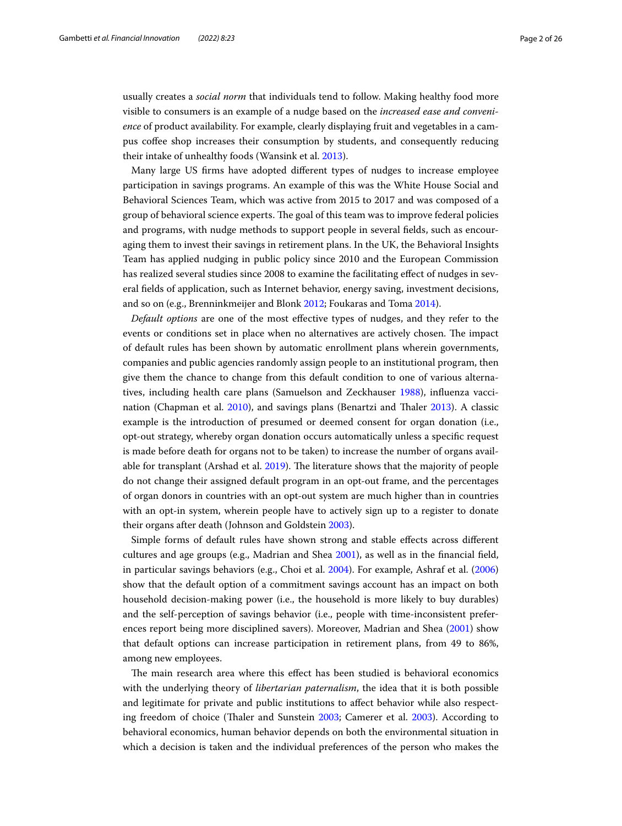usually creates a *social norm* that individuals tend to follow. Making healthy food more visible to consumers is an example of a nudge based on the *increased ease and convenience* of product availability. For example, clearly displaying fruit and vegetables in a campus coffee shop increases their consumption by students, and consequently reducing their intake of unhealthy foods (Wansink et al. [2013](#page-25-0)).

Many large US frms have adopted diferent types of nudges to increase employee participation in savings programs. An example of this was the White House Social and Behavioral Sciences Team, which was active from 2015 to 2017 and was composed of a group of behavioral science experts. The goal of this team was to improve federal policies and programs, with nudge methods to support people in several felds, such as encouraging them to invest their savings in retirement plans. In the UK, the Behavioral Insights Team has applied nudging in public policy since 2010 and the European Commission has realized several studies since 2008 to examine the facilitating efect of nudges in several felds of application, such as Internet behavior, energy saving, investment decisions, and so on (e.g., Brenninkmeijer and Blonk [2012;](#page-23-2) Foukaras and Toma [2014](#page-23-3)).

*Default options* are one of the most efective types of nudges, and they refer to the events or conditions set in place when no alternatives are actively chosen. The impact of default rules has been shown by automatic enrollment plans wherein governments, companies and public agencies randomly assign people to an institutional program, then give them the chance to change from this default condition to one of various alternatives, including health care plans (Samuelson and Zeckhauser [1988\)](#page-24-3), infuenza vaccination (Chapman et al. [2010\)](#page-23-4), and savings plans (Benartzi and Taler [2013](#page-23-1)). A classic example is the introduction of presumed or deemed consent for organ donation (i.e., opt-out strategy, whereby organ donation occurs automatically unless a specifc request is made before death for organs not to be taken) to increase the number of organs avail-able for transplant (Arshad et al. [2019](#page-23-5)). The literature shows that the majority of people do not change their assigned default program in an opt-out frame, and the percentages of organ donors in countries with an opt-out system are much higher than in countries with an opt-in system, wherein people have to actively sign up to a register to donate their organs after death (Johnson and Goldstein [2003](#page-24-4)).

Simple forms of default rules have shown strong and stable efects across diferent cultures and age groups (e.g., Madrian and Shea [2001](#page-24-5)), as well as in the fnancial feld, in particular savings behaviors (e.g., Choi et al. [2004](#page-23-6)). For example, Ashraf et al. ([2006](#page-23-7)) show that the default option of a commitment savings account has an impact on both household decision-making power (i.e., the household is more likely to buy durables) and the self-perception of savings behavior (i.e., people with time-inconsistent preferences report being more disciplined savers). Moreover, Madrian and Shea [\(2001](#page-24-5)) show that default options can increase participation in retirement plans, from 49 to 86%, among new employees.

The main research area where this effect has been studied is behavioral economics with the underlying theory of *libertarian paternalism*, the idea that it is both possible and legitimate for private and public institutions to afect behavior while also respecting freedom of choice (Taler and Sunstein [2003;](#page-24-6) Camerer et al. [2003](#page-23-8)). According to behavioral economics, human behavior depends on both the environmental situation in which a decision is taken and the individual preferences of the person who makes the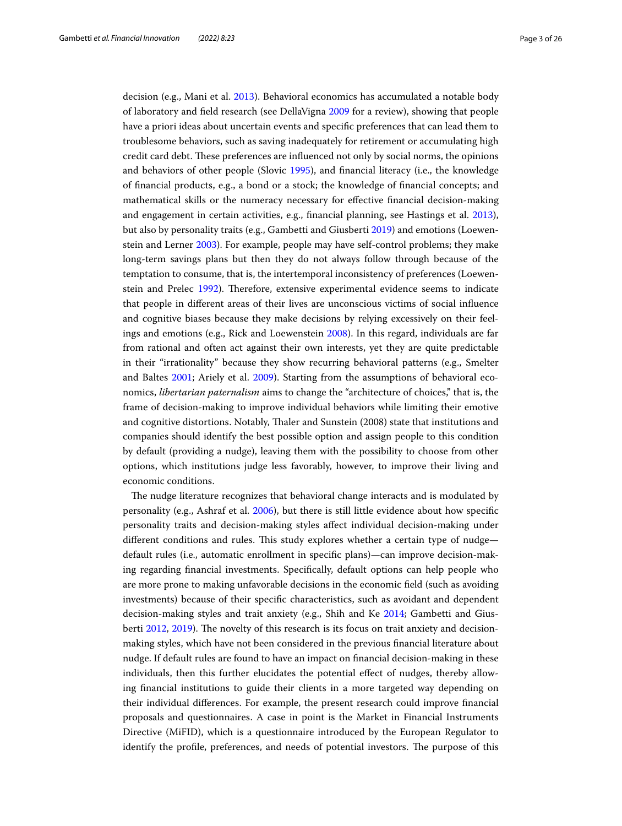decision (e.g., Mani et al. [2013\)](#page-24-7). Behavioral economics has accumulated a notable body of laboratory and feld research (see DellaVigna [2009](#page-23-9) for a review), showing that people have a priori ideas about uncertain events and specifc preferences that can lead them to troublesome behaviors, such as saving inadequately for retirement or accumulating high credit card debt. These preferences are influenced not only by social norms, the opinions and behaviors of other people (Slovic [1995](#page-24-8)), and fnancial literacy (i.e., the knowledge of fnancial products, e.g., a bond or a stock; the knowledge of fnancial concepts; and mathematical skills or the numeracy necessary for efective fnancial decision-making and engagement in certain activities, e.g., fnancial planning, see Hastings et al. [2013](#page-23-10)), but also by personality traits (e.g., Gambetti and Giusberti [2019](#page-23-11)) and emotions (Loewenstein and Lerner [2003\)](#page-24-9). For example, people may have self-control problems; they make long-term savings plans but then they do not always follow through because of the temptation to consume, that is, the intertemporal inconsistency of preferences (Loewen-stein and Prelec [1992](#page-24-10)). Therefore, extensive experimental evidence seems to indicate that people in diferent areas of their lives are unconscious victims of social infuence and cognitive biases because they make decisions by relying excessively on their feelings and emotions (e.g., Rick and Loewenstein [2008\)](#page-24-11). In this regard, individuals are far from rational and often act against their own interests, yet they are quite predictable in their "irrationality" because they show recurring behavioral patterns (e.g., Smelter and Baltes [2001](#page-24-12); Ariely et al. [2009](#page-23-12)). Starting from the assumptions of behavioral economics, *libertarian paternalism* aims to change the "architecture of choices," that is, the frame of decision-making to improve individual behaviors while limiting their emotive and cognitive distortions. Notably, Thaler and Sunstein (2008) state that institutions and companies should identify the best possible option and assign people to this condition by default (providing a nudge), leaving them with the possibility to choose from other options, which institutions judge less favorably, however, to improve their living and economic conditions.

The nudge literature recognizes that behavioral change interacts and is modulated by personality (e.g., Ashraf et al. [2006\)](#page-23-7), but there is still little evidence about how specifc personality traits and decision-making styles afect individual decision-making under different conditions and rules. This study explores whether a certain type of nudge default rules (i.e., automatic enrollment in specifc plans)—can improve decision-making regarding fnancial investments. Specifcally, default options can help people who are more prone to making unfavorable decisions in the economic feld (such as avoiding investments) because of their specifc characteristics, such as avoidant and dependent decision-making styles and trait anxiety (e.g., Shih and Ke [2014](#page-24-13); Gambetti and Gius-berti [2012,](#page-23-13) [2019](#page-23-11)). The novelty of this research is its focus on trait anxiety and decisionmaking styles, which have not been considered in the previous fnancial literature about nudge. If default rules are found to have an impact on fnancial decision-making in these individuals, then this further elucidates the potential efect of nudges, thereby allowing fnancial institutions to guide their clients in a more targeted way depending on their individual diferences. For example, the present research could improve fnancial proposals and questionnaires. A case in point is the Market in Financial Instruments Directive (MiFID), which is a questionnaire introduced by the European Regulator to identify the profile, preferences, and needs of potential investors. The purpose of this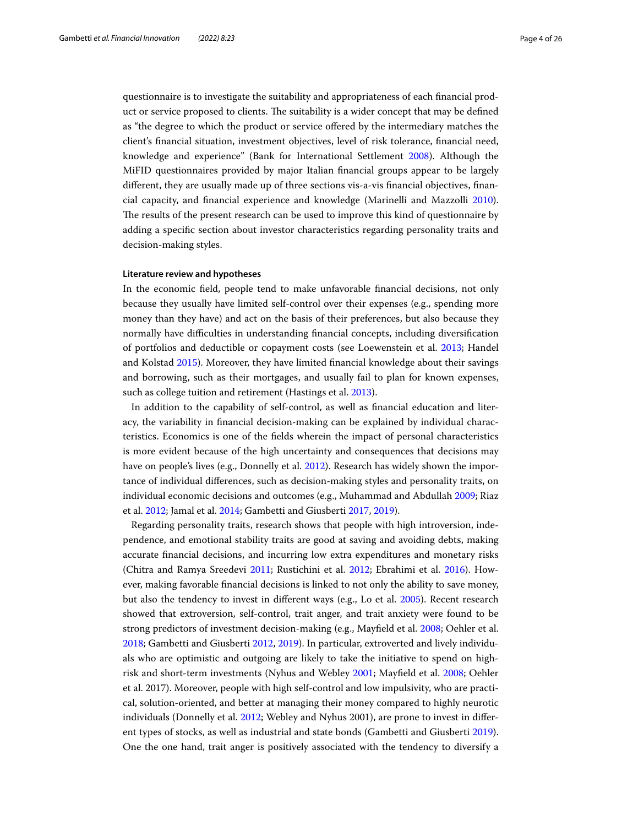questionnaire is to investigate the suitability and appropriateness of each fnancial product or service proposed to clients. The suitability is a wider concept that may be defined as "the degree to which the product or service ofered by the intermediary matches the client's fnancial situation, investment objectives, level of risk tolerance, fnancial need, knowledge and experience" (Bank for International Settlement [2008\)](#page-23-14). Although the MiFID questionnaires provided by major Italian fnancial groups appear to be largely diferent, they are usually made up of three sections vis-a-vis fnancial objectives, fnancial capacity, and fnancial experience and knowledge (Marinelli and Mazzolli [2010](#page-24-14)). The results of the present research can be used to improve this kind of questionnaire by adding a specifc section about investor characteristics regarding personality traits and decision-making styles.

#### **Literature review and hypotheses**

In the economic feld, people tend to make unfavorable fnancial decisions, not only because they usually have limited self-control over their expenses (e.g., spending more money than they have) and act on the basis of their preferences, but also because they normally have difculties in understanding fnancial concepts, including diversifcation of portfolios and deductible or copayment costs (see Loewenstein et al. [2013](#page-24-15); Handel and Kolstad [2015](#page-23-15)). Moreover, they have limited fnancial knowledge about their savings and borrowing, such as their mortgages, and usually fail to plan for known expenses, such as college tuition and retirement (Hastings et al. [2013\)](#page-23-10).

In addition to the capability of self-control, as well as fnancial education and literacy, the variability in fnancial decision-making can be explained by individual characteristics. Economics is one of the felds wherein the impact of personal characteristics is more evident because of the high uncertainty and consequences that decisions may have on people's lives (e.g., Donnelly et al. [2012](#page-23-16)). Research has widely shown the importance of individual diferences, such as decision-making styles and personality traits, on individual economic decisions and outcomes (e.g., Muhammad and Abdullah [2009](#page-24-16); Riaz et al. [2012;](#page-24-17) Jamal et al. [2014;](#page-23-17) Gambetti and Giusberti [2017](#page-23-18), [2019\)](#page-23-11).

Regarding personality traits, research shows that people with high introversion, independence, and emotional stability traits are good at saving and avoiding debts, making accurate fnancial decisions, and incurring low extra expenditures and monetary risks (Chitra and Ramya Sreedevi [2011](#page-23-19); Rustichini et al. [2012](#page-24-18); Ebrahimi et al. [2016](#page-23-20)). However, making favorable fnancial decisions is linked to not only the ability to save money, but also the tendency to invest in diferent ways (e.g., Lo et al. [2005\)](#page-24-19). Recent research showed that extroversion, self-control, trait anger, and trait anxiety were found to be strong predictors of investment decision-making (e.g., Mayfeld et al. [2008](#page-24-20); Oehler et al. [2018](#page-24-21); Gambetti and Giusberti [2012,](#page-23-13) [2019](#page-23-11)). In particular, extroverted and lively individuals who are optimistic and outgoing are likely to take the initiative to spend on highrisk and short-term investments (Nyhus and Webley [2001;](#page-24-22) Mayfeld et al. [2008](#page-24-20); Oehler et al. 2017). Moreover, people with high self-control and low impulsivity, who are practical, solution-oriented, and better at managing their money compared to highly neurotic individuals (Donnelly et al. [2012](#page-23-16); Webley and Nyhus 2001), are prone to invest in diferent types of stocks, as well as industrial and state bonds (Gambetti and Giusberti [2019](#page-23-11)). One the one hand, trait anger is positively associated with the tendency to diversify a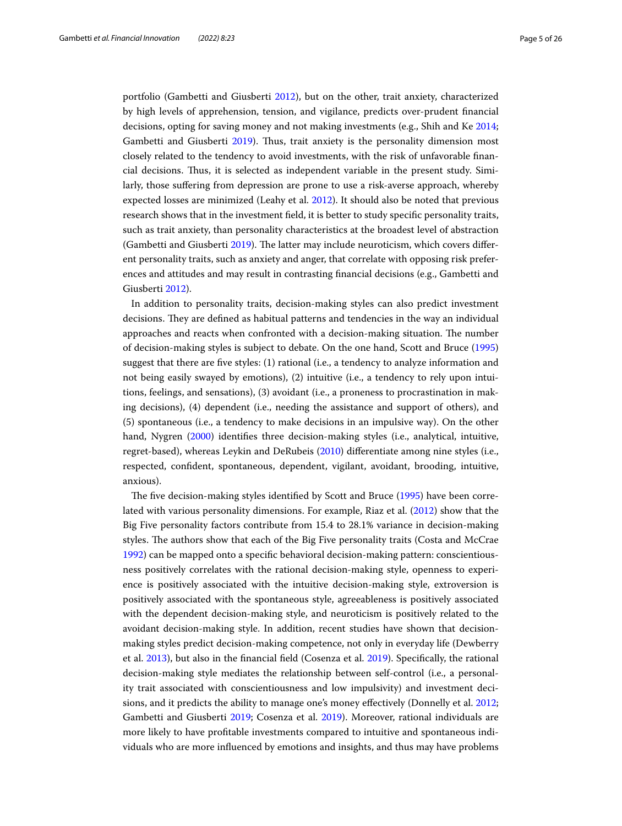portfolio (Gambetti and Giusberti [2012](#page-23-13)), but on the other, trait anxiety, characterized by high levels of apprehension, tension, and vigilance, predicts over-prudent fnancial decisions, opting for saving money and not making investments (e.g., Shih and Ke [2014](#page-24-13); Gambetti and Giusberti [2019\)](#page-23-11). Thus, trait anxiety is the personality dimension most closely related to the tendency to avoid investments, with the risk of unfavorable fnancial decisions. Tus, it is selected as independent variable in the present study. Similarly, those sufering from depression are prone to use a risk-averse approach, whereby expected losses are minimized (Leahy et al. [2012](#page-24-23)). It should also be noted that previous research shows that in the investment feld, it is better to study specifc personality traits, such as trait anxiety, than personality characteristics at the broadest level of abstraction (Gambetti and Giusberti [2019\)](#page-23-11). The latter may include neuroticism, which covers different personality traits, such as anxiety and anger, that correlate with opposing risk preferences and attitudes and may result in contrasting fnancial decisions (e.g., Gambetti and Giusberti [2012](#page-23-13)).

In addition to personality traits, decision-making styles can also predict investment decisions. They are defined as habitual patterns and tendencies in the way an individual approaches and reacts when confronted with a decision-making situation. The number of decision-making styles is subject to debate. On the one hand, Scott and Bruce ([1995](#page-24-24)) suggest that there are fve styles: (1) rational (i.e., a tendency to analyze information and not being easily swayed by emotions), (2) intuitive (i.e., a tendency to rely upon intuitions, feelings, and sensations), (3) avoidant (i.e., a proneness to procrastination in making decisions), (4) dependent (i.e., needing the assistance and support of others), and (5) spontaneous (i.e., a tendency to make decisions in an impulsive way). On the other hand, Nygren [\(2000\)](#page-24-25) identifes three decision-making styles (i.e., analytical, intuitive, regret-based), whereas Leykin and DeRubeis ([2010](#page-24-26)) diferentiate among nine styles (i.e., respected, confdent, spontaneous, dependent, vigilant, avoidant, brooding, intuitive, anxious).

The five decision-making styles identified by Scott and Bruce ([1995\)](#page-24-24) have been correlated with various personality dimensions. For example, Riaz et al. [\(2012\)](#page-24-17) show that the Big Five personality factors contribute from 15.4 to 28.1% variance in decision-making styles. The authors show that each of the Big Five personality traits (Costa and McCrae [1992](#page-23-21)) can be mapped onto a specifc behavioral decision-making pattern: conscientiousness positively correlates with the rational decision-making style, openness to experience is positively associated with the intuitive decision-making style, extroversion is positively associated with the spontaneous style, agreeableness is positively associated with the dependent decision-making style, and neuroticism is positively related to the avoidant decision-making style. In addition, recent studies have shown that decisionmaking styles predict decision-making competence, not only in everyday life (Dewberry et al. [2013\)](#page-23-22), but also in the fnancial feld (Cosenza et al. [2019](#page-23-23)). Specifcally, the rational decision-making style mediates the relationship between self-control (i.e., a personality trait associated with conscientiousness and low impulsivity) and investment decisions, and it predicts the ability to manage one's money efectively (Donnelly et al. [2012](#page-23-16); Gambetti and Giusberti [2019](#page-23-11); Cosenza et al. [2019\)](#page-23-23). Moreover, rational individuals are more likely to have proftable investments compared to intuitive and spontaneous individuals who are more infuenced by emotions and insights, and thus may have problems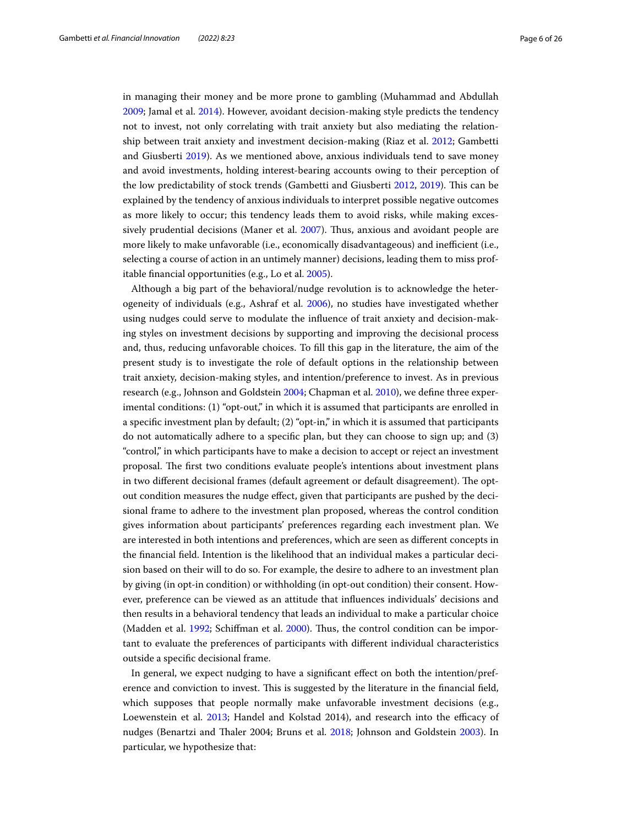in managing their money and be more prone to gambling (Muhammad and Abdullah [2009](#page-24-16); Jamal et al. [2014\)](#page-23-17). However, avoidant decision-making style predicts the tendency not to invest, not only correlating with trait anxiety but also mediating the relationship between trait anxiety and investment decision-making (Riaz et al. [2012](#page-24-17); Gambetti and Giusberti [2019\)](#page-23-11). As we mentioned above, anxious individuals tend to save money and avoid investments, holding interest-bearing accounts owing to their perception of the low predictability of stock trends (Gambetti and Giusberti [2012](#page-23-13), [2019\)](#page-23-11). This can be explained by the tendency of anxious individuals to interpret possible negative outcomes as more likely to occur; this tendency leads them to avoid risks, while making excessively prudential decisions (Maner et al. [2007\)](#page-24-27). Tus, anxious and avoidant people are more likely to make unfavorable (i.e., economically disadvantageous) and inefficient (i.e., selecting a course of action in an untimely manner) decisions, leading them to miss profitable fnancial opportunities (e.g., Lo et al. [2005](#page-24-19)).

Although a big part of the behavioral/nudge revolution is to acknowledge the heterogeneity of individuals (e.g., Ashraf et al. [2006\)](#page-23-7), no studies have investigated whether using nudges could serve to modulate the infuence of trait anxiety and decision-making styles on investment decisions by supporting and improving the decisional process and, thus, reducing unfavorable choices. To fll this gap in the literature, the aim of the present study is to investigate the role of default options in the relationship between trait anxiety, decision-making styles, and intention/preference to invest. As in previous research (e.g., Johnson and Goldstein [2004](#page-24-28); Chapman et al. [2010](#page-23-4)), we defne three experimental conditions: (1) "opt-out," in which it is assumed that participants are enrolled in a specifc investment plan by default; (2) "opt-in," in which it is assumed that participants do not automatically adhere to a specifc plan, but they can choose to sign up; and (3) "control," in which participants have to make a decision to accept or reject an investment proposal. Te frst two conditions evaluate people's intentions about investment plans in two different decisional frames (default agreement or default disagreement). The optout condition measures the nudge efect, given that participants are pushed by the decisional frame to adhere to the investment plan proposed, whereas the control condition gives information about participants' preferences regarding each investment plan. We are interested in both intentions and preferences, which are seen as diferent concepts in the fnancial feld. Intention is the likelihood that an individual makes a particular decision based on their will to do so. For example, the desire to adhere to an investment plan by giving (in opt-in condition) or withholding (in opt-out condition) their consent. However, preference can be viewed as an attitude that infuences individuals' decisions and then results in a behavioral tendency that leads an individual to make a particular choice (Madden et al. [1992;](#page-24-29) Schiffman et al. [2000\)](#page-24-30). Thus, the control condition can be important to evaluate the preferences of participants with diferent individual characteristics outside a specifc decisional frame.

In general, we expect nudging to have a signifcant efect on both the intention/preference and conviction to invest. This is suggested by the literature in the financial field, which supposes that people normally make unfavorable investment decisions (e.g., Loewenstein et al. [2013;](#page-24-15) Handel and Kolstad 2014), and research into the efficacy of nudges (Benartzi and Taler 2004; Bruns et al. [2018;](#page-23-24) Johnson and Goldstein [2003](#page-24-4)). In particular, we hypothesize that: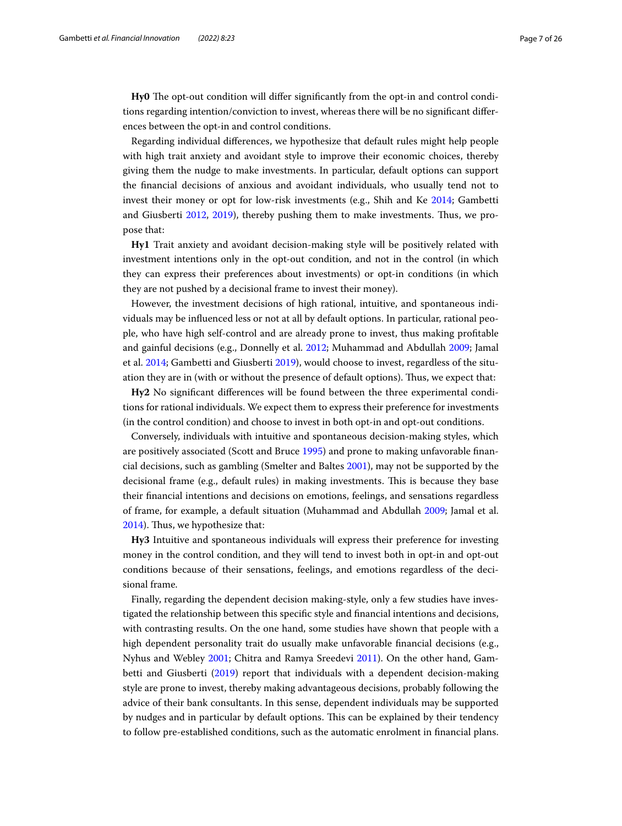Hy0 The opt-out condition will differ significantly from the opt-in and control conditions regarding intention/conviction to invest, whereas there will be no signifcant diferences between the opt-in and control conditions.

Regarding individual diferences, we hypothesize that default rules might help people with high trait anxiety and avoidant style to improve their economic choices, thereby giving them the nudge to make investments. In particular, default options can support the fnancial decisions of anxious and avoidant individuals, who usually tend not to invest their money or opt for low-risk investments (e.g., Shih and Ke [2014;](#page-24-13) Gambetti and Giusberti [2012,](#page-23-13) [2019](#page-23-11)), thereby pushing them to make investments. Tus, we propose that:

**Hy1** Trait anxiety and avoidant decision-making style will be positively related with investment intentions only in the opt-out condition, and not in the control (in which they can express their preferences about investments) or opt-in conditions (in which they are not pushed by a decisional frame to invest their money).

However, the investment decisions of high rational, intuitive, and spontaneous individuals may be infuenced less or not at all by default options. In particular, rational people, who have high self-control and are already prone to invest, thus making proftable and gainful decisions (e.g., Donnelly et al. [2012;](#page-23-16) Muhammad and Abdullah [2009;](#page-24-16) Jamal et al. [2014](#page-23-17); Gambetti and Giusberti [2019](#page-23-11)), would choose to invest, regardless of the situation they are in (with or without the presence of default options). Tus, we expect that:

**Hy2** No signifcant diferences will be found between the three experimental conditions for rational individuals. We expect them to express their preference for investments (in the control condition) and choose to invest in both opt-in and opt-out conditions.

Conversely, individuals with intuitive and spontaneous decision-making styles, which are positively associated (Scott and Bruce [1995](#page-24-24)) and prone to making unfavorable fnancial decisions, such as gambling (Smelter and Baltes [2001\)](#page-24-12), may not be supported by the decisional frame (e.g., default rules) in making investments. Tis is because they base their fnancial intentions and decisions on emotions, feelings, and sensations regardless of frame, for example, a default situation (Muhammad and Abdullah [2009](#page-24-16); Jamal et al. [2014](#page-23-17)). Thus, we hypothesize that:

**Hy3** Intuitive and spontaneous individuals will express their preference for investing money in the control condition, and they will tend to invest both in opt-in and opt-out conditions because of their sensations, feelings, and emotions regardless of the decisional frame.

Finally, regarding the dependent decision making-style, only a few studies have investigated the relationship between this specifc style and fnancial intentions and decisions, with contrasting results. On the one hand, some studies have shown that people with a high dependent personality trait do usually make unfavorable financial decisions (e.g., Nyhus and Webley [2001](#page-24-22); Chitra and Ramya Sreedevi [2011](#page-23-19)). On the other hand, Gambetti and Giusberti [\(2019](#page-23-11)) report that individuals with a dependent decision-making style are prone to invest, thereby making advantageous decisions, probably following the advice of their bank consultants. In this sense, dependent individuals may be supported by nudges and in particular by default options. Tis can be explained by their tendency to follow pre-established conditions, such as the automatic enrolment in fnancial plans.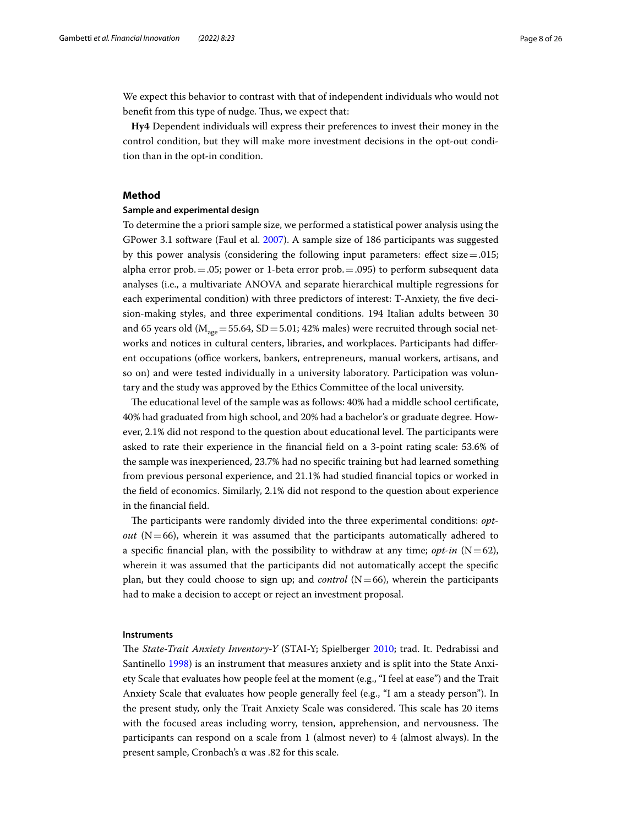We expect this behavior to contrast with that of independent individuals who would not benefit from this type of nudge. Thus, we expect that:

**Hy4** Dependent individuals will express their preferences to invest their money in the control condition, but they will make more investment decisions in the opt-out condition than in the opt-in condition.

## **Method**

#### **Sample and experimental design**

To determine the a priori sample size, we performed a statistical power analysis using the GPower 3.1 software (Faul et al. [2007\)](#page-23-25). A sample size of 186 participants was suggested by this power analysis (considering the following input parameters: effect  $size = .015$ ; alpha error prob.  $= .05$ ; power or 1-beta error prob.  $= .095$ ) to perform subsequent data analyses (i.e., a multivariate ANOVA and separate hierarchical multiple regressions for each experimental condition) with three predictors of interest: T-Anxiety, the fve decision-making styles, and three experimental conditions. 194 Italian adults between 30 and 65 years old ( $M_{\text{age}}$  = 55.64, SD = 5.01; 42% males) were recruited through social networks and notices in cultural centers, libraries, and workplaces. Participants had diferent occupations (office workers, bankers, entrepreneurs, manual workers, artisans, and so on) and were tested individually in a university laboratory. Participation was voluntary and the study was approved by the Ethics Committee of the local university.

The educational level of the sample was as follows: 40% had a middle school certificate, 40% had graduated from high school, and 20% had a bachelor's or graduate degree. However, 2.1% did not respond to the question about educational level. The participants were asked to rate their experience in the fnancial feld on a 3-point rating scale: 53.6% of the sample was inexperienced, 23.7% had no specifc training but had learned something from previous personal experience, and 21.1% had studied fnancial topics or worked in the feld of economics. Similarly, 2.1% did not respond to the question about experience in the fnancial feld.

The participants were randomly divided into the three experimental conditions: *optout* ( $N=66$ ), wherein it was assumed that the participants automatically adhered to a specific financial plan, with the possibility to withdraw at any time; *opt-in*  $(N=62)$ , wherein it was assumed that the participants did not automatically accept the specifc plan, but they could choose to sign up; and *control* (N=66), wherein the participants had to make a decision to accept or reject an investment proposal.

#### **Instruments**

The *State-Trait Anxiety Inventory-Y* (STAI-Y; Spielberger [2010](#page-24-31); trad. It. Pedrabissi and Santinello [1998\)](#page-24-32) is an instrument that measures anxiety and is split into the State Anxiety Scale that evaluates how people feel at the moment (e.g., "I feel at ease") and the Trait Anxiety Scale that evaluates how people generally feel (e.g., "I am a steady person"). In the present study, only the Trait Anxiety Scale was considered. This scale has 20 items with the focused areas including worry, tension, apprehension, and nervousness. The participants can respond on a scale from 1 (almost never) to 4 (almost always). In the present sample, Cronbach's α was .82 for this scale.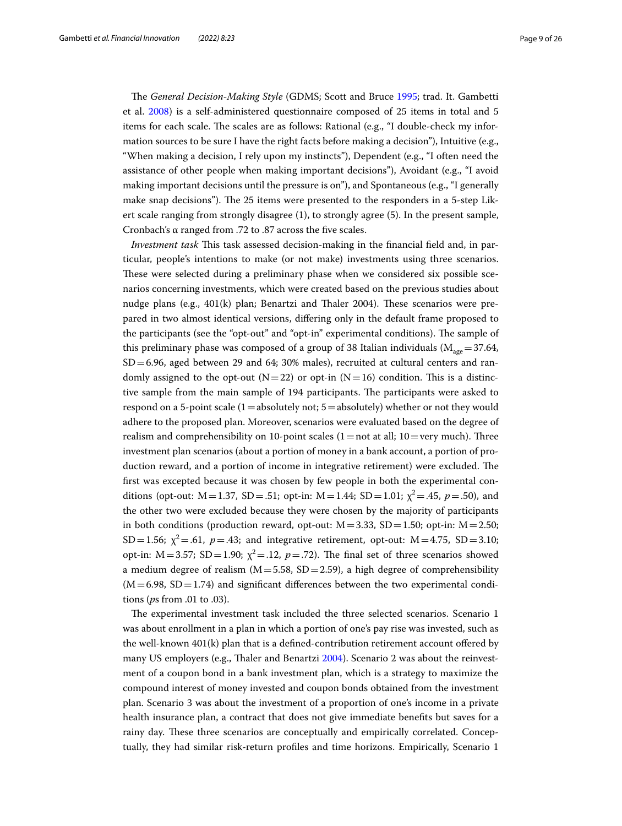The *General Decision-Making Style* (GDMS; Scott and Bruce [1995;](#page-24-24) trad. It. Gambetti et al. [2008\)](#page-23-26) is a self-administered questionnaire composed of 25 items in total and 5 items for each scale. The scales are as follows: Rational (e.g., "I double-check my information sources to be sure I have the right facts before making a decision"), Intuitive (e.g., "When making a decision, I rely upon my instincts"), Dependent (e.g., "I often need the assistance of other people when making important decisions"), Avoidant (e.g., "I avoid making important decisions until the pressure is on"), and Spontaneous (e.g., "I generally make snap decisions"). The 25 items were presented to the responders in a 5-step Likert scale ranging from strongly disagree (1), to strongly agree (5). In the present sample, Cronbach's α ranged from .72 to .87 across the fve scales.

*Investment task* This task assessed decision-making in the financial field and, in particular, people's intentions to make (or not make) investments using three scenarios. These were selected during a preliminary phase when we considered six possible scenarios concerning investments, which were created based on the previous studies about nudge plans (e.g.,  $401(k)$  plan; Benartzi and Thaler 2004). These scenarios were prepared in two almost identical versions, difering only in the default frame proposed to the participants (see the "opt-out" and "opt-in" experimental conditions). The sample of this preliminary phase was composed of a group of 38 Italian individuals ( $M_{\text{age}}=37.64$ ,  $SD = 6.96$ , aged between 29 and 64; 30% males), recruited at cultural centers and randomly assigned to the opt-out  $(N=22)$  or opt-in  $(N=16)$  condition. This is a distinctive sample from the main sample of 194 participants. The participants were asked to respond on a 5-point scale  $(1=$ absolutely not;  $5=$ absolutely) whether or not they would adhere to the proposed plan. Moreover, scenarios were evaluated based on the degree of realism and comprehensibility on 10-point scales (1 = not at all;  $10 = \text{very much}$ ). Three investment plan scenarios (about a portion of money in a bank account, a portion of production reward, and a portion of income in integrative retirement) were excluded. The frst was excepted because it was chosen by few people in both the experimental conditions (opt-out:  $M = 1.37$ ,  $SD = .51$ ; opt-in:  $M = 1.44$ ;  $SD = 1.01$ ;  $\chi^2 = .45$ ,  $p = .50$ ), and the other two were excluded because they were chosen by the majority of participants in both conditions (production reward, opt-out:  $M = 3.33$ ,  $SD = 1.50$ ; opt-in:  $M = 2.50$ ; SD=1.56;  $\chi^2$  = .61,  $p$  = .43; and integrative retirement, opt-out: M = 4.75, SD = 3.10; opt-in:  $M=3.57$ ;  $SD=1.90$ ;  $\chi^2 = .12$ ,  $p=.72$ ). The final set of three scenarios showed a medium degree of realism ( $M = 5.58$ , SD = 2.59), a high degree of comprehensibility  $(M=6.98, SD=1.74)$  and significant differences between the two experimental conditions (*p*s from .01 to .03).

The experimental investment task included the three selected scenarios. Scenario 1 was about enrollment in a plan in which a portion of one's pay rise was invested, such as the well-known 401(k) plan that is a defned-contribution retirement account ofered by many US employers (e.g., Taler and Benartzi [2004](#page-24-33)). Scenario 2 was about the reinvestment of a coupon bond in a bank investment plan, which is a strategy to maximize the compound interest of money invested and coupon bonds obtained from the investment plan. Scenario 3 was about the investment of a proportion of one's income in a private health insurance plan, a contract that does not give immediate benefts but saves for a rainy day. These three scenarios are conceptually and empirically correlated. Conceptually, they had similar risk-return profles and time horizons. Empirically, Scenario 1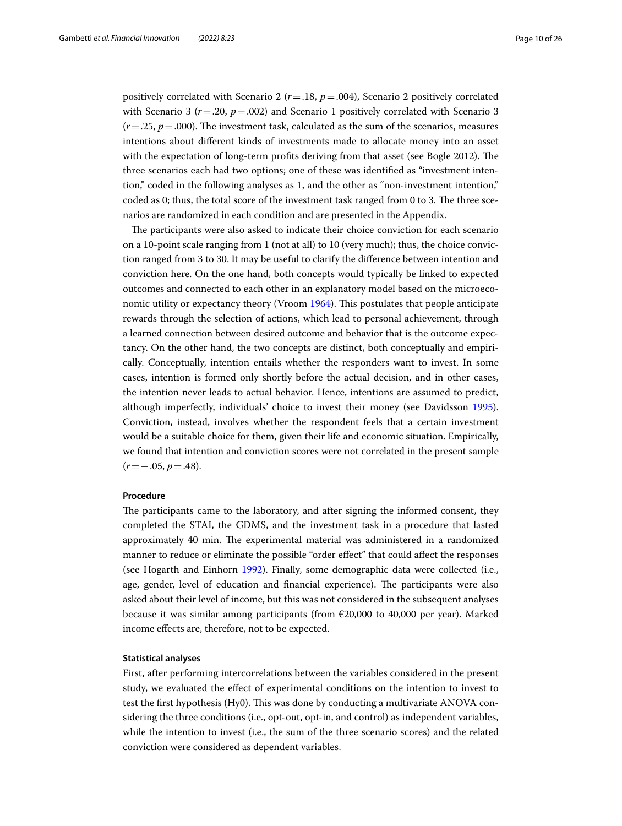positively correlated with Scenario 2 (*r*=.18, *p*=.004), Scenario 2 positively correlated with Scenario 3 ( $r = .20$ ,  $p = .002$ ) and Scenario 1 positively correlated with Scenario 3  $(r = .25, p = .000)$ . The investment task, calculated as the sum of the scenarios, measures intentions about diferent kinds of investments made to allocate money into an asset with the expectation of long-term profits deriving from that asset (see Bogle 2012). The three scenarios each had two options; one of these was identifed as "investment intention," coded in the following analyses as 1, and the other as "non-investment intention," coded as 0; thus, the total score of the investment task ranged from 0 to 3. The three scenarios are randomized in each condition and are presented in the Appendix.

The participants were also asked to indicate their choice conviction for each scenario on a 10-point scale ranging from 1 (not at all) to 10 (very much); thus, the choice conviction ranged from 3 to 30. It may be useful to clarify the diference between intention and conviction here. On the one hand, both concepts would typically be linked to expected outcomes and connected to each other in an explanatory model based on the microeco-nomic utility or expectancy theory (Vroom [1964\)](#page-25-1). This postulates that people anticipate rewards through the selection of actions, which lead to personal achievement, through a learned connection between desired outcome and behavior that is the outcome expectancy. On the other hand, the two concepts are distinct, both conceptually and empirically. Conceptually, intention entails whether the responders want to invest. In some cases, intention is formed only shortly before the actual decision, and in other cases, the intention never leads to actual behavior. Hence, intentions are assumed to predict, although imperfectly, individuals' choice to invest their money (see Davidsson [1995](#page-23-27)). Conviction, instead, involves whether the respondent feels that a certain investment would be a suitable choice for them, given their life and economic situation. Empirically, we found that intention and conviction scores were not correlated in the present sample (*r*=−.05, *p*=.48).

#### **Procedure**

The participants came to the laboratory, and after signing the informed consent, they completed the STAI, the GDMS, and the investment task in a procedure that lasted approximately 40 min. The experimental material was administered in a randomized manner to reduce or eliminate the possible "order efect" that could afect the responses (see Hogarth and Einhorn [1992](#page-23-28)). Finally, some demographic data were collected (i.e., age, gender, level of education and financial experience). The participants were also asked about their level of income, but this was not considered in the subsequent analyses because it was similar among participants (from €20,000 to 40,000 per year). Marked income efects are, therefore, not to be expected.

#### **Statistical analyses**

First, after performing intercorrelations between the variables considered in the present study, we evaluated the efect of experimental conditions on the intention to invest to test the first hypothesis (Hy0). This was done by conducting a multivariate ANOVA considering the three conditions (i.e., opt-out, opt-in, and control) as independent variables, while the intention to invest (i.e., the sum of the three scenario scores) and the related conviction were considered as dependent variables.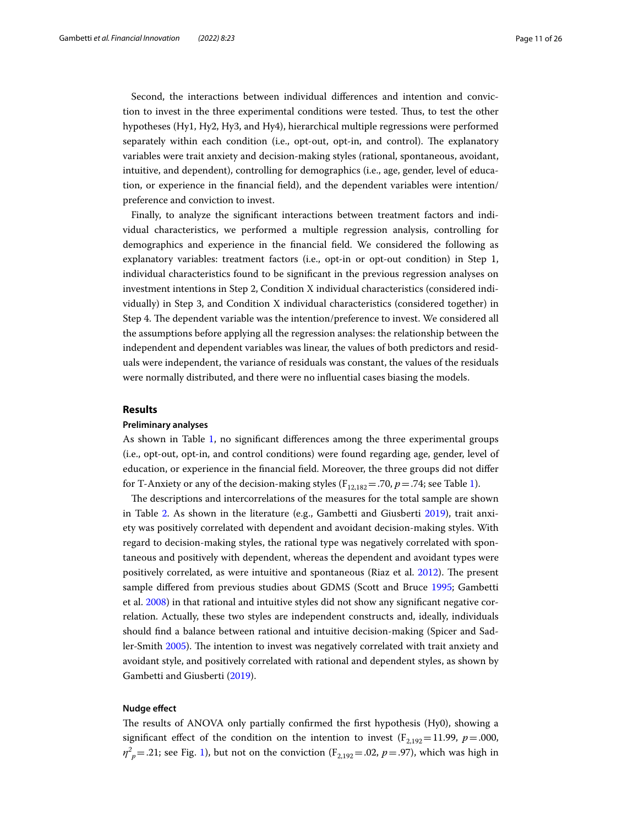Second, the interactions between individual diferences and intention and conviction to invest in the three experimental conditions were tested. Tus, to test the other hypotheses (Hy1, Hy2, Hy3, and Hy4), hierarchical multiple regressions were performed separately within each condition (i.e., opt-out, opt-in, and control). The explanatory variables were trait anxiety and decision-making styles (rational, spontaneous, avoidant, intuitive, and dependent), controlling for demographics (i.e., age, gender, level of education, or experience in the fnancial feld), and the dependent variables were intention/ preference and conviction to invest.

Finally, to analyze the signifcant interactions between treatment factors and individual characteristics, we performed a multiple regression analysis, controlling for demographics and experience in the fnancial feld. We considered the following as explanatory variables: treatment factors (i.e., opt-in or opt-out condition) in Step 1, individual characteristics found to be signifcant in the previous regression analyses on investment intentions in Step 2, Condition X individual characteristics (considered individually) in Step 3, and Condition X individual characteristics (considered together) in Step 4. The dependent variable was the intention/preference to invest. We considered all the assumptions before applying all the regression analyses: the relationship between the independent and dependent variables was linear, the values of both predictors and residuals were independent, the variance of residuals was constant, the values of the residuals were normally distributed, and there were no infuential cases biasing the models.

#### **Results**

#### **Preliminary analyses**

As shown in Table [1,](#page-11-0) no signifcant diferences among the three experimental groups (i.e., opt-out, opt-in, and control conditions) were found regarding age, gender, level of education, or experience in the fnancial feld. Moreover, the three groups did not difer for T-Anxiety or any of the decision-making styles ( $F_{12,182}$  = .70,  $p$  = .74; see Table [1\)](#page-11-0).

The descriptions and intercorrelations of the measures for the total sample are shown in Table [2](#page-11-1). As shown in the literature (e.g., Gambetti and Giusberti [2019\)](#page-23-11), trait anxiety was positively correlated with dependent and avoidant decision-making styles. With regard to decision-making styles, the rational type was negatively correlated with spontaneous and positively with dependent, whereas the dependent and avoidant types were positively correlated, as were intuitive and spontaneous (Riaz et al. [2012\)](#page-24-17). The present sample difered from previous studies about GDMS (Scott and Bruce [1995;](#page-24-24) Gambetti et al. [2008](#page-23-26)) in that rational and intuitive styles did not show any signifcant negative correlation. Actually, these two styles are independent constructs and, ideally, individuals should fnd a balance between rational and intuitive decision-making (Spicer and Sad-ler-Smith [2005](#page-24-34)). The intention to invest was negatively correlated with trait anxiety and avoidant style, and positively correlated with rational and dependent styles, as shown by Gambetti and Giusberti [\(2019](#page-23-11)).

#### **Nudge efect**

The results of ANOVA only partially confirmed the first hypothesis (Hy0), showing a significant effect of the condition on the intention to invest  $(F_{2,192}=11.99, p=.000,$  $\eta^2_{\ \rho} = .21$  $\eta^2_{\ \rho} = .21$ ; see Fig. 1), but not on the conviction (F<sub>2,192</sub> = .02, *p* = .97), which was high in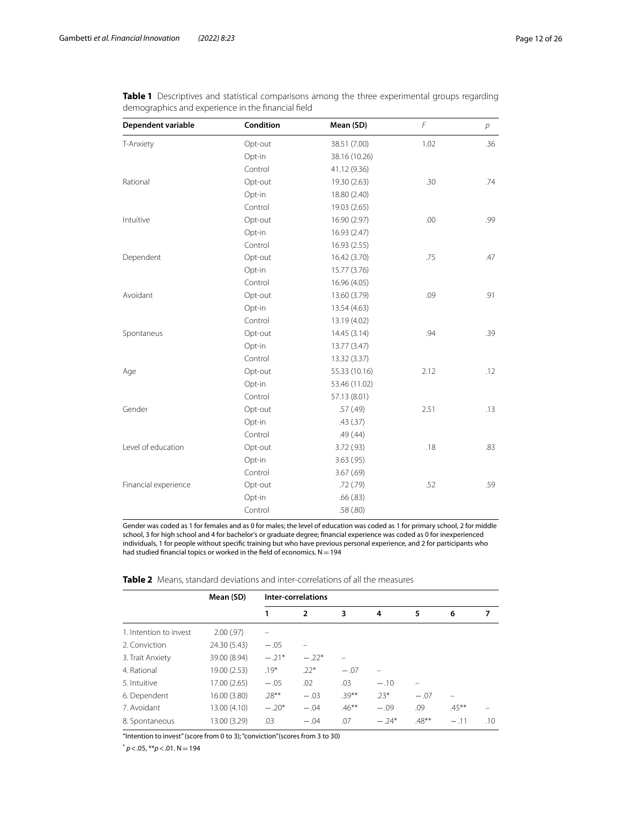| Dependent variable   | Condition | Mean (SD)     | F    | $\overline{p}$ |
|----------------------|-----------|---------------|------|----------------|
| T-Anxiety            | Opt-out   | 38.51 (7.00)  | 1.02 | .36            |
|                      | Opt-in    | 38.16 (10.26) |      |                |
|                      | Control   | 41.12 (9.36)  |      |                |
| Rational             | Opt-out   | 19.30 (2.63)  | .30  | .74            |
|                      | Opt-in    | 18.80 (2.40)  |      |                |
|                      | Control   | 19.03 (2.65)  |      |                |
| Intuitive            | Opt-out   | 16.90 (2.97)  | .00  | .99            |
|                      | Opt-in    | 16.93 (2.47)  |      |                |
|                      | Control   | 16.93 (2.55)  |      |                |
| Dependent            | Opt-out   | 16.42 (3.70)  | .75  | .47            |
|                      | Opt-in    | 15.77 (3.76)  |      |                |
|                      | Control   | 16.96 (4.05)  |      |                |
| Avoidant             | Opt-out   | 13.60 (3.79)  | .09  | .91            |
|                      | Opt-in    | 13.54 (4.63)  |      |                |
|                      | Control   | 13.19 (4.02)  |      |                |
| Spontaneus           | Opt-out   | 14.45(3.14)   | .94  | .39            |
|                      | Opt-in    | 13.77 (3.47)  |      |                |
|                      | Control   | 13.32 (3.37)  |      |                |
| Age                  | Opt-out   | 55.33 (10.16) | 2.12 | .12            |
|                      | Opt-in    | 53.46 (11.02) |      |                |
|                      | Control   | 57.13 (8.01)  |      |                |
| Gender               | Opt-out   | .57(.49)      | 2.51 | .13            |
|                      | Opt-in    | .43(.37)      |      |                |
|                      | Control   | .49(.44)      |      |                |
| Level of education   | Opt-out   | 3.72(.93)     | .18  | .83            |
|                      | Opt-in    | 3.63(.95)     |      |                |
|                      | Control   | 3.67(.69)     |      |                |
| Financial experience | Opt-out   | .72(.79)      | .52  | .59            |
|                      | Opt-in    | .66(.83)      |      |                |
|                      | Control   | .58 (.80)     |      |                |

<span id="page-11-0"></span>**Table 1** Descriptives and statistical comparisons among the three experimental groups regarding demographics and experience in the fnancial feld

Gender was coded as 1 for females and as 0 for males; the level of education was coded as 1 for primary school, 2 for middle school, 3 for high school and 4 for bachelor's or graduate degree; fnancial experience was coded as 0 for inexperienced individuals, 1 for people without specifc training but who have previous personal experience, and 2 for participants who had studied financial topics or worked in the field of economics.  $N=194$ 

<span id="page-11-1"></span>

| <b>Table 2</b> Means, standard deviations and inter-correlations of all the measures |  |
|--------------------------------------------------------------------------------------|--|
|--------------------------------------------------------------------------------------|--|

|                        | Mean (SD)    |          | Inter-correlations |          |         |          |          |     |
|------------------------|--------------|----------|--------------------|----------|---------|----------|----------|-----|
|                        |              |          | $\overline{2}$     | 3        | 4       | 5        | 6        | 7   |
| 1. Intention to invest | 2.00(.97)    |          |                    |          |         |          |          |     |
| 2. Conviction          | 24.30 (5.43) | $-.05$   |                    |          |         |          |          |     |
| 3. Trait Anxiety       | 39.00 (8.94) | $-.21*$  | $-.22*$            |          |         |          |          |     |
| 4. Rational            | 19.00 (2.53) | $.19*$   | $.22*$             | $-.07$   |         |          |          |     |
| 5. Intuitive           | 17.00 (2.65) | $-.05$   | .02                | .03      | $-.10$  |          |          |     |
| 6. Dependent           | 16.00 (3.80) | $.28***$ | $-.03$             | $.39***$ | $.23*$  | $-.07$   |          |     |
| 7. Avoidant            | 13.00 (4.10) | $-.20*$  | $-.04$             | $.46***$ | $-.09$  | .09      | $.45***$ |     |
| 8. Spontaneous         | 13.00 (3.29) | .03      | $-.04$             | .07      | $-.24*$ | $.48***$ | $-.11$   | .10 |

"Intention to invest" (score from 0 to 3); "conviction"(scores from 3 to 30)

 $p$  < .05, \*\* $p$  < .01. N = 194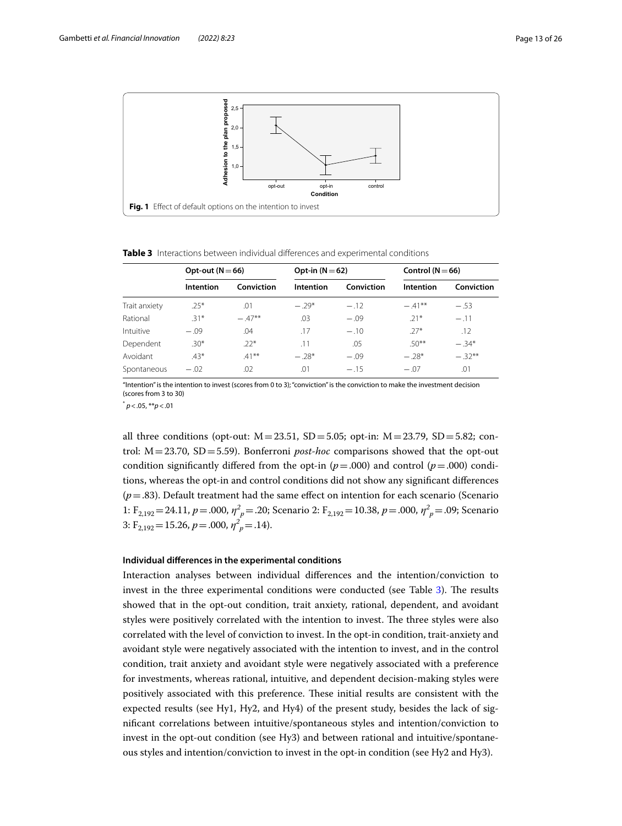

#### <span id="page-12-1"></span><span id="page-12-0"></span>**Table 3** Interactions between individual diferences and experimental conditions

|               | Opt-out ( $N = 66$ ) |            | Opt-in $(N=62)$ |            | Control ( $N = 66$ ) |            |
|---------------|----------------------|------------|-----------------|------------|----------------------|------------|
|               | Intention            | Conviction | Intention       | Conviction | Intention            | Conviction |
| Trait anxiety | $.25*$               | .01        | $-.29*$         | $-.12$     | $-41**$              | $-.53$     |
| Rational      | $.31*$               | $-47**$    | .03             | $-.09$     | $.21*$               | $-.11$     |
| Intuitive     | $-.09$               | .04        | .17             | $-.10$     | $.27*$               | .12        |
| Dependent     | $.30*$               | $22*$      | .11             | .05        | $.50***$             | $-.34*$    |
| Avoidant      | $.43*$               | $.41***$   | $-.28*$         | $-.09$     | $-.28*$              | $-.32**$   |
| Spontaneous   | $-.02$               | .02        | .01             | $-.15$     | $-.07$               | .01        |

"Intention" is the intention to invest (scores from 0 to 3); "conviction" is the conviction to make the investment decision (scores from 3 to 30)

\* *p*<.05, \*\**p*<.01

all three conditions (opt-out:  $M = 23.51$ ,  $SD = 5.05$ ; opt-in:  $M = 23.79$ ,  $SD = 5.82$ ; control: M=23.70, SD=5.59). Bonferroni *post-hoc* comparisons showed that the opt-out condition significantly differed from the opt-in  $(p=.000)$  and control  $(p=.000)$  conditions, whereas the opt-in and control conditions did not show any signifcant diferences  $(p=.83)$ . Default treatment had the same effect on intention for each scenario (Scenario) 1: F<sub>2,192</sub> = 24.11, *p* = .000, *η*<sup>2</sup><sub>*p*</sub> = .20; Scenario 2: F<sub>2,192</sub> = 10.38, *p* = .000, *η*<sup>2</sup><sub>*p*</sub> = .09; Scenario 3:  $F_{2,192} = 15.26$ ,  $p = .000$ ,  $\eta^2{}_p = .14$ ).

#### **Individual diferences in the experimental conditions**

Interaction analyses between individual diferences and the intention/conviction to invest in the three experimental conditions were conducted (see Table [3\)](#page-12-1). The results showed that in the opt-out condition, trait anxiety, rational, dependent, and avoidant styles were positively correlated with the intention to invest. The three styles were also correlated with the level of conviction to invest. In the opt-in condition, trait-anxiety and avoidant style were negatively associated with the intention to invest, and in the control condition, trait anxiety and avoidant style were negatively associated with a preference for investments, whereas rational, intuitive, and dependent decision-making styles were positively associated with this preference. These initial results are consistent with the expected results (see Hy1, Hy2, and Hy4) of the present study, besides the lack of signifcant correlations between intuitive/spontaneous styles and intention/conviction to invest in the opt-out condition (see Hy3) and between rational and intuitive/spontaneous styles and intention/conviction to invest in the opt-in condition (see Hy2 and Hy3).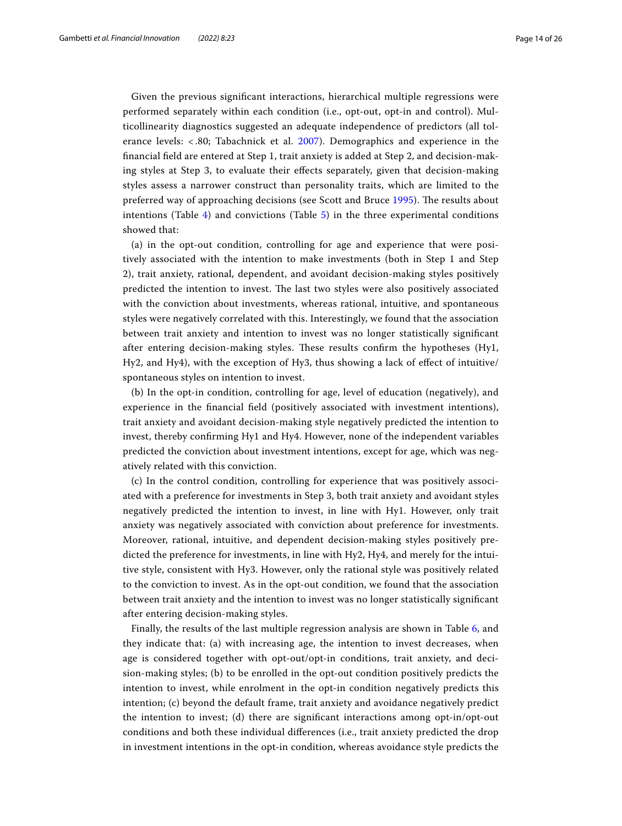Given the previous signifcant interactions, hierarchical multiple regressions were performed separately within each condition (i.e., opt-out, opt-in and control). Multicollinearity diagnostics suggested an adequate independence of predictors (all tolerance levels: < .80; Tabachnick et al. [2007\)](#page-24-35). Demographics and experience in the fnancial feld are entered at Step 1, trait anxiety is added at Step 2, and decision-making styles at Step 3, to evaluate their efects separately, given that decision-making styles assess a narrower construct than personality traits, which are limited to the preferred way of approaching decisions (see Scott and Bruce [1995](#page-24-24)). The results about intentions (Table  $4$ ) and convictions (Table  $5$ ) in the three experimental conditions showed that:

(a) in the opt-out condition, controlling for age and experience that were positively associated with the intention to make investments (both in Step 1 and Step 2), trait anxiety, rational, dependent, and avoidant decision-making styles positively predicted the intention to invest. The last two styles were also positively associated with the conviction about investments, whereas rational, intuitive, and spontaneous styles were negatively correlated with this. Interestingly, we found that the association between trait anxiety and intention to invest was no longer statistically signifcant after entering decision-making styles. These results confirm the hypotheses (Hy1, Hy2, and Hy4), with the exception of Hy3, thus showing a lack of efect of intuitive/ spontaneous styles on intention to invest.

(b) In the opt-in condition, controlling for age, level of education (negatively), and experience in the fnancial feld (positively associated with investment intentions), trait anxiety and avoidant decision-making style negatively predicted the intention to invest, thereby confrming Hy1 and Hy4. However, none of the independent variables predicted the conviction about investment intentions, except for age, which was negatively related with this conviction.

(c) In the control condition, controlling for experience that was positively associated with a preference for investments in Step 3, both trait anxiety and avoidant styles negatively predicted the intention to invest, in line with Hy1. However, only trait anxiety was negatively associated with conviction about preference for investments. Moreover, rational, intuitive, and dependent decision-making styles positively predicted the preference for investments, in line with Hy2, Hy4, and merely for the intuitive style, consistent with Hy3. However, only the rational style was positively related to the conviction to invest. As in the opt-out condition, we found that the association between trait anxiety and the intention to invest was no longer statistically signifcant after entering decision-making styles.

Finally, the results of the last multiple regression analysis are shown in Table [6](#page-16-0), and they indicate that: (a) with increasing age, the intention to invest decreases, when age is considered together with opt-out/opt-in conditions, trait anxiety, and decision-making styles; (b) to be enrolled in the opt-out condition positively predicts the intention to invest, while enrolment in the opt-in condition negatively predicts this intention; (c) beyond the default frame, trait anxiety and avoidance negatively predict the intention to invest; (d) there are signifcant interactions among opt-in/opt-out conditions and both these individual diferences (i.e., trait anxiety predicted the drop in investment intentions in the opt-in condition, whereas avoidance style predicts the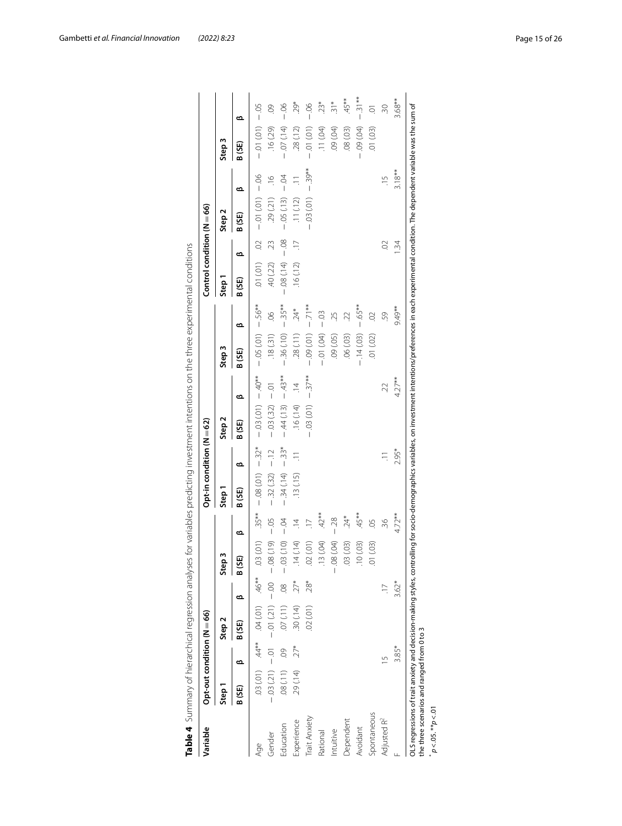| Variable                | Opt-out condition $(N = 66)$ |       |                                       |               |             |                | Opt-in condition (N $=$ 62) |          |                   |               |                     |               | Control condition $(N = 66)$ |                |                      |                |                   |                |
|-------------------------|------------------------------|-------|---------------------------------------|---------------|-------------|----------------|-----------------------------|----------|-------------------|---------------|---------------------|---------------|------------------------------|----------------|----------------------|----------------|-------------------|----------------|
|                         | Step <sub>1</sub>            |       | Step <sub>2</sub>                     |               | m<br>Step   |                | Step <sub>1</sub>           |          | Step <sub>2</sub> |               | Step <sub>3</sub>   |               | Step <sub>1</sub>            |                | Step <sub>2</sub>    |                | Step <sub>3</sub> |                |
|                         | B (SE)                       | ఆ     | B (SE)                                | ≃             | B(SE)       | ൶              | B(SE)                       | ఆ        | B (SE)            | ≃             | B (SE)              | ⋍             | B (SE)                       | ≃              | ∞<br>B (SE)          |                | ൶<br>B (SE)       |                |
| Age                     |                              |       | $*46**$ (10) FO. $*44**$ (10) EO.     |               | 0.01)       | $.35**$        | $-0.08(0.01)$               | $-.32*$  | $-03(01)$         | $-40**$       | $-0.05(0.1) - 56**$ |               | $(101)$ $10.$                | $\overline{O}$ | $-06$<br>$-0.01(01)$ |                | $-0.01(01)$       | $-0.5$         |
| Gender                  |                              |       | $-0.01$ (12.1) $-0.01$ (12.1) $-0.01$ |               | $-.08(.19)$ | $-0.5$         | $-32(32)$                   | $-12$    | $-03(32)$         | $-0$          | .18(31)             | $\frac{8}{2}$ | .40(.22)                     | 23             | .29(21)              | $\frac{9}{10}$ | .16(29)           |                |
| Education               | .08(.11)                     | 09    | .07(11)                               | $\frac{8}{2}$ | $-03(10)$   | $-0.4$         | $-0.34(0.14)$               | $-33*$   | $-44(13)$         | $-43**$       | $-0.36(0.10)$       | $-.35**$      | $-.08(.14)$                  | $-08$          | $-05(13)$            | $-0.4$         | $-07(14)$         | $-06$          |
| Experience              | .29(.14)                     | $27*$ | .30(.14)                              | $27*$         | 14(.14)     | $\overline{4}$ | .13(.15)                    | $\equiv$ | .16(.14)          | $\frac{4}{3}$ | .28(.11)            | $.24*$        | .16(.12)                     | $\equiv$       | .11(.12)             | $\equiv$       | .28(.12)          | 29*            |
| Trait Anxiety           |                              |       | 02(01)                                | $28*$         | 02(01)      | $\overline{1}$ |                             |          | $-0.03(0.01)$     | $-.37**$      | $-0.09(0.01)$       | $-71**$       |                              |                | $-0.3(0.1)$          | $-39**$        | $-0.01(0.1)$      | $-06$          |
| Rational                |                              |       |                                       |               | 13 (.04)    | 42*            |                             |          |                   |               | $-01(04)$           | $-03$         |                              |                |                      |                | (11)(04)          | $23*$          |
| Intuitive               |                              |       |                                       |               | $-.08(.04)$ | $-28$          |                             |          |                   |               | (20)(.05)           | 25            |                              |                |                      |                | $(60)$ 60         | $\frac{1}{21}$ |
| Dependent               |                              |       |                                       |               | .03(03)     | $24*$          |                             |          |                   |               | .06(03)             |               |                              |                |                      |                | .08(.03)          | .45**          |
| Avoidant                |                              |       |                                       |               | 10(0.03)    | .45**          |                             |          |                   |               | $-.14(03)$          | $-65**$       |                              |                |                      |                | $(40)$ 60         | $-31**$        |
| Spontaneous             |                              |       |                                       |               | (0.01)      | SO.            |                             |          |                   |               | (50, 10)            | S             |                              |                |                      |                | .01(03)           | ā              |
| Adjusted R <sup>2</sup> |                              |       |                                       |               |             | 36             |                             | Ξ        |                   | 22            |                     | 59            |                              | S              |                      | $\frac{5}{1}$  |                   | SO.            |
|                         |                              | 3.85* |                                       | $3.62*$       |             | 4.72**         |                             | 2.95*    |                   | $4.27**$      |                     | 9.49**        |                              | 1.34           |                      | $3.18**$       |                   | $3.68**$       |

<span id="page-14-0"></span>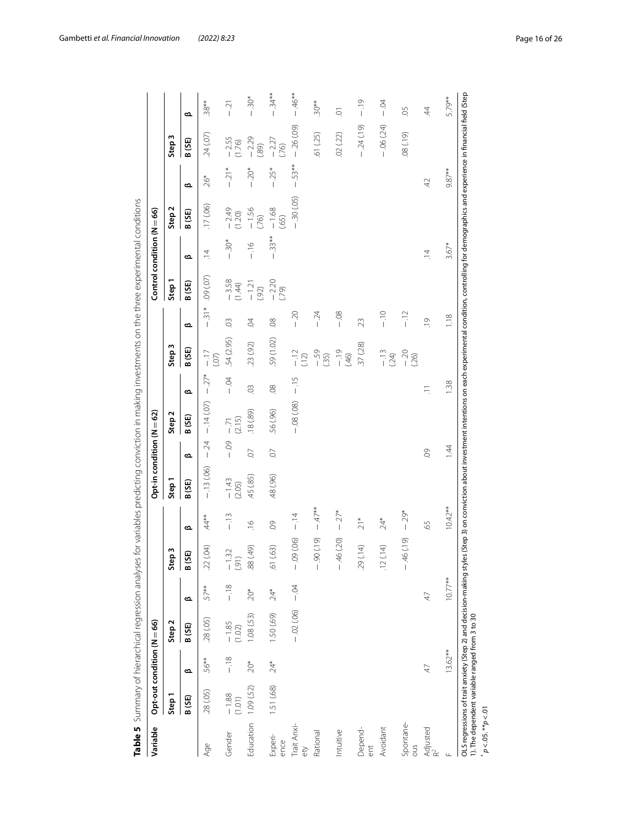| Variable                   | Opt-out condition (N = 66) |                 |                   |                 |                                       |               | Opt-in condition (N = 62) |         |               |          |                   |                |                    | Control condition $(N=66)$ |                   |                                   |                   |          |
|----------------------------|----------------------------|-----------------|-------------------|-----------------|---------------------------------------|---------------|---------------------------|---------|---------------|----------|-------------------|----------------|--------------------|----------------------------|-------------------|-----------------------------------|-------------------|----------|
|                            | Step <sub>1</sub>          |                 | Step <sub>2</sub> |                 | Step 3                                |               | Step <sub>1</sub>         |         | Step 2        |          | Step <sub>3</sub> |                | Step <sub>1</sub>  |                            | Step <sub>2</sub> |                                   | Step <sub>3</sub> |          |
|                            | B (SE)                     | ൶               | B (SE)            | ൶               | GS)<br>ã                              | ൶             | B (SE)                    | ൶       | B (SE)        | ൶        | B(SE)             | ൶              | B (SE)             | ൶                          | B (SE)            | ൶                                 | B(SE)             | ൶        |
| Age                        | .28(.05)                   | 56**            | .28(.05)          | 57**            | (0.04)<br>22                          | $44**$        | $-.13(06)$                | $-24$   | $-.14(07)$    | $-27*$   | $-17$<br>(07)     | $-31*$         | (50)(00)           | $\overline{4}$             | .17(06)           | $26*$                             | 24 (.07)          | $.38**$  |
| Gender                     | $-1.88$<br>(1.01)          | $-18$           | $-1.85$<br>(1.02) | $-18$           | $\frac{32}{1}$<br>ī<br>$\overline{6}$ | $-13$         | $-1.43$<br>(2.05)         | $-0.9$  | (2.15)<br>-71 | $-5$     | 54 (2.95)         | $\odot$        | $-3.58$<br>(1.44)  | $-30*$                     | $-2.49$<br>(1.20) | $-21*$                            | $-2.55$<br>(1.76) | $-21$    |
| Education                  | 1.09(.52)                  | $20*$           | .08(.53)          | $-20*$          | (649)<br>88                           | $\frac{1}{2}$ | .45 (.85)                 | Q.      | $(68)$ 81.    | $\odot$  | .23(.92)          | S.             | $-1.21$<br>(.92)   | $\frac{9!}{1}$             | $-1.56$<br>(76)   | $20*$                             | $-2.29$<br>(68)   | $-0.30*$ |
| Experi-<br>ence            | 1.51 (.68)                 | $24*$           | 1.50 (.69)        | $24*$           | (63)<br>$\overline{6}$                | $\odot$       | 48 (.96)                  | Q.      | .56 (.96)     | $\infty$ | 59 (1.02)         | $\overline{0}$ | $-2.20$<br>$(.79)$ | $-33**$                    | $-1.68$<br>(65)   | $25*$<br>$\overline{\phantom{a}}$ | $-2.27$<br>(76)   | $-34**$  |
| Trait Anxi-<br>ety         |                            |                 | $-.02(06)$        | $-04$           | $-0.09(06)$                           | $-14$         |                           |         | $-.08(.08)$   | $-15$    | $-12$<br>(12)     | $-20$          |                    |                            | $-.30(.05)$       | 53**<br>$\overline{\phantom{a}}$  | $-26(09)$         | $-46**$  |
| Rational                   |                            |                 |                   |                 | $-.90(19)$                            | $-47**$       |                           |         |               |          | $-59$<br>(.35)    | $-24$          |                    |                            |                   |                                   | .61 (.25)         | $-30**$  |
| Intuitive                  |                            |                 |                   |                 | $-46(20)$                             | $-.27*$       |                           |         |               |          | $60 + 70$         | $-08$          |                    |                            |                   |                                   | .02(.22)          | ā        |
| Depend-<br>$\overline{5}$  |                            |                 |                   |                 | (14)<br>29                            | $21*$         |                           |         |               |          | .37(.28)          | 23             |                    |                            |                   |                                   | $-24(19)$         | $-19$    |
| Avoidant                   |                            |                 |                   |                 | (14)<br>$\overline{C}$                | $24*$         |                           |         |               |          | $-13$<br>(24)     | $-10$          |                    |                            |                   |                                   | $-.06(24)$        | $-0.4$   |
| Spontane-<br>Smo           |                            |                 |                   |                 | $-46(19)$                             | $-29*$        |                           |         |               |          | $-20$<br>(.26)    | $-12$          |                    |                            |                   |                                   | $(61)80$ .        | SO.      |
| Adjusted<br>R <sup>2</sup> |                            | $\overline{47}$ |                   | $\overline{47}$ |                                       | 65            |                           | $\odot$ |               | $\equiv$ |                   | $\overline{0}$ |                    | $\overline{4}$             |                   | $\overline{42}$                   |                   | 4        |
| $\sqcup$                   |                            | $13.62**$       |                   | $10.77**$       |                                       | $10.42**$     |                           | 144     |               | 1.38     |                   | 1.18           |                    | $3.67*$                    |                   | 9.87**                            |                   | 5.79**   |

<span id="page-15-0"></span>

Gambetti *et al. Financial Innovation (2022) 8:23* Page 16 of 26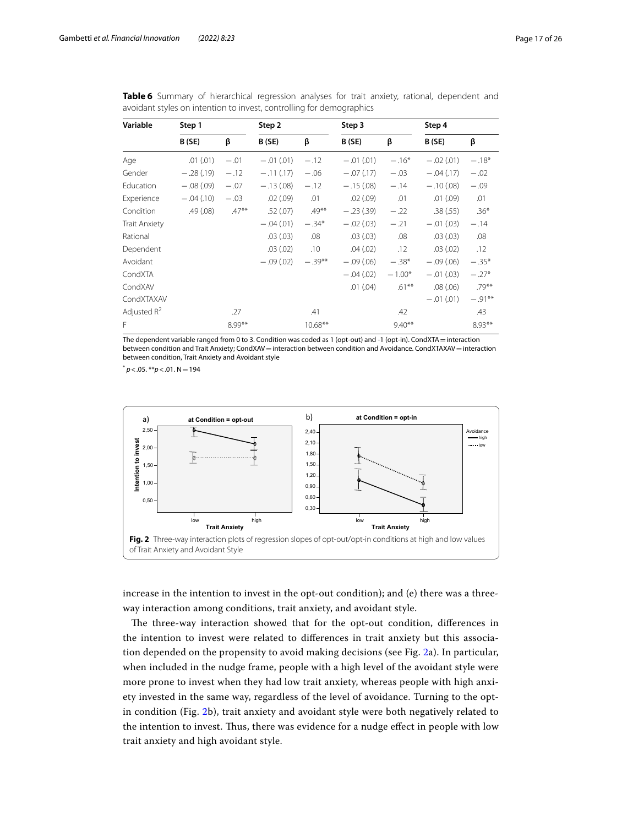| Variable             | Step 1      |         | Step 2      |           | Step 3      |           | Step 4      |           |
|----------------------|-------------|---------|-------------|-----------|-------------|-----------|-------------|-----------|
|                      | B(SE)       | β       | B (SE)      | β         | B(SE)       | β         | B (SE)      | β         |
| Age                  | .01(.01)    | $-.01$  | $-.01(.01)$ | $-.12$    | $-.01(.01)$ | $-.16*$   | $-.02(.01)$ | $-.18*$   |
| Gender               | $-.28(.19)$ | $-.12$  | $-.11(.17)$ | $-.06$    | $-.07(.17)$ | $-.03$    | $-.04(.17)$ | $-.02$    |
| Education            | $-.08(.09)$ | $-.07$  | $-.13(.08)$ | $-.12$    | $-.15(.08)$ | $-.14$    | $-.10(.08)$ | $-.09$    |
| Experience           | $-.04(.10)$ | $-.03$  | .02(.09)    | .01       | .02(.09)    | .01       | .01(.09)    | .01       |
| Condition            | .49(.08)    | $.47**$ | .52(.07)    | $.49***$  | $-.23(.39)$ | $-.22$    | .38(.55)    | $.36*$    |
| <b>Trait Anxiety</b> |             |         | $-.04(.01)$ | $-.34*$   | $-.02(.03)$ | $-.21$    | $-.01(.03)$ | $-.14$    |
| Rational             |             |         | .03(0.03)   | .08       | .03(0.03)   | .08       | .03(.03)    | .08       |
| Dependent            |             |         | .03(.02)    | .10       | .04(.02)    | .12       | .03(.02)    | .12       |
| Avoidant             |             |         | $-.09(.02)$ | $-.39***$ | $-.09(.06)$ | $-.38*$   | $-.09(.06)$ | $-.35*$   |
| CondXTA              |             |         |             |           | $-.04(.02)$ | $-1.00*$  | $-.01(.03)$ | $-.27*$   |
| CondXAV              |             |         |             |           | .01(.04)    | $.61***$  | .08(.06)    | $.79***$  |
| CondXTAXAV           |             |         |             |           |             |           | $-.01(.01)$ | $-.91***$ |
| Adjusted $R^2$       |             | .27     |             | .41       |             | .42       |             | .43       |
| F                    |             | 8.99**  |             | $10.68**$ |             | $9.40***$ |             | $8.93**$  |

<span id="page-16-0"></span>**Table 6** Summary of hierarchical regression analyses for trait anxiety, rational, dependent and avoidant styles on intention to invest, controlling for demographics

The dependent variable ranged from 0 to 3. Condition was coded as 1 (opt-out) and -1 (opt-in). CondXTA = interaction between condition and Trait Anxiety; CondXAV = interaction between condition and Avoidance. CondXTAXAV = interaction between condition, Trait Anxiety and Avoidant style

 $p < .05$ . \*\* $p < .01$ . N = 194



<span id="page-16-1"></span>increase in the intention to invest in the opt-out condition); and (e) there was a threeway interaction among conditions, trait anxiety, and avoidant style.

The three-way interaction showed that for the opt-out condition, differences in the intention to invest were related to diferences in trait anxiety but this association depended on the propensity to avoid making decisions (see Fig. [2](#page-16-1)a). In particular, when included in the nudge frame, people with a high level of the avoidant style were more prone to invest when they had low trait anxiety, whereas people with high anxiety invested in the same way, regardless of the level of avoidance. Turning to the optin condition (Fig. [2b](#page-16-1)), trait anxiety and avoidant style were both negatively related to the intention to invest. Tus, there was evidence for a nudge efect in people with low trait anxiety and high avoidant style.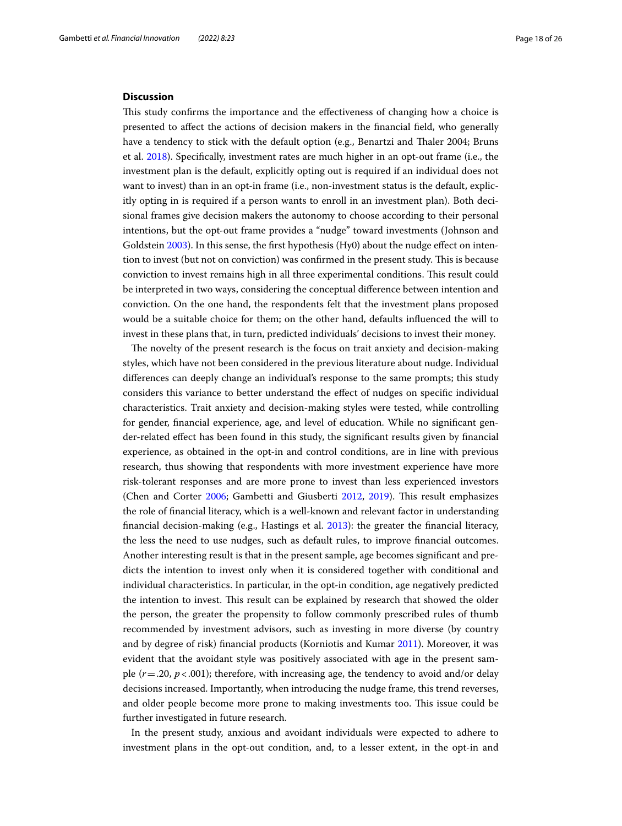#### **Discussion**

This study confirms the importance and the effectiveness of changing how a choice is presented to afect the actions of decision makers in the fnancial feld, who generally have a tendency to stick with the default option (e.g., Benartzi and Thaler 2004; Bruns et al. [2018](#page-23-24)). Specifcally, investment rates are much higher in an opt-out frame (i.e., the investment plan is the default, explicitly opting out is required if an individual does not want to invest) than in an opt-in frame (i.e., non-investment status is the default, explicitly opting in is required if a person wants to enroll in an investment plan). Both decisional frames give decision makers the autonomy to choose according to their personal intentions, but the opt-out frame provides a "nudge" toward investments (Johnson and Goldstein [2003\)](#page-24-4). In this sense, the frst hypothesis (Hy0) about the nudge efect on intention to invest (but not on conviction) was confirmed in the present study. This is because conviction to invest remains high in all three experimental conditions. This result could be interpreted in two ways, considering the conceptual diference between intention and conviction. On the one hand, the respondents felt that the investment plans proposed would be a suitable choice for them; on the other hand, defaults infuenced the will to invest in these plans that, in turn, predicted individuals' decisions to invest their money.

The novelty of the present research is the focus on trait anxiety and decision-making styles, which have not been considered in the previous literature about nudge. Individual diferences can deeply change an individual's response to the same prompts; this study considers this variance to better understand the efect of nudges on specifc individual characteristics. Trait anxiety and decision-making styles were tested, while controlling for gender, fnancial experience, age, and level of education. While no signifcant gender-related efect has been found in this study, the signifcant results given by fnancial experience, as obtained in the opt-in and control conditions, are in line with previous research, thus showing that respondents with more investment experience have more risk-tolerant responses and are more prone to invest than less experienced investors (Chen and Corter [2006;](#page-23-29) Gambetti and Giusberti [2012,](#page-23-13) [2019\)](#page-23-11). Tis result emphasizes the role of fnancial literacy, which is a well-known and relevant factor in understanding fnancial decision-making (e.g., Hastings et al. [2013](#page-23-10)): the greater the fnancial literacy, the less the need to use nudges, such as default rules, to improve fnancial outcomes. Another interesting result is that in the present sample, age becomes signifcant and predicts the intention to invest only when it is considered together with conditional and individual characteristics. In particular, in the opt-in condition, age negatively predicted the intention to invest. Tis result can be explained by research that showed the older the person, the greater the propensity to follow commonly prescribed rules of thumb recommended by investment advisors, such as investing in more diverse (by country and by degree of risk) fnancial products (Korniotis and Kumar [2011\)](#page-24-36). Moreover, it was evident that the avoidant style was positively associated with age in the present sample  $(r=.20, p<.001)$ ; therefore, with increasing age, the tendency to avoid and/or delay decisions increased. Importantly, when introducing the nudge frame, this trend reverses, and older people become more prone to making investments too. This issue could be further investigated in future research.

In the present study, anxious and avoidant individuals were expected to adhere to investment plans in the opt-out condition, and, to a lesser extent, in the opt-in and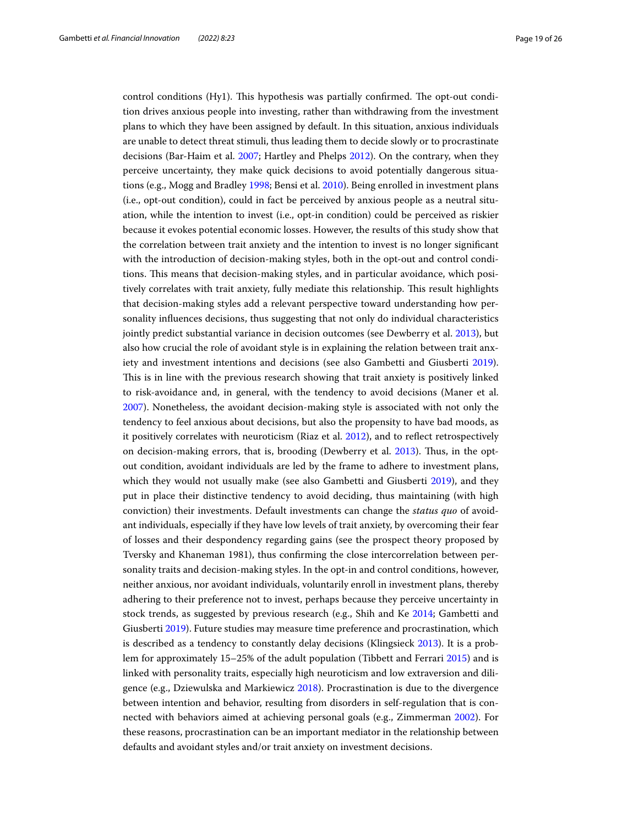control conditions (Hy1). This hypothesis was partially confirmed. The opt-out condition drives anxious people into investing, rather than withdrawing from the investment plans to which they have been assigned by default. In this situation, anxious individuals are unable to detect threat stimuli, thus leading them to decide slowly or to procrastinate decisions (Bar-Haim et al. [2007;](#page-23-30) Hartley and Phelps [2012](#page-23-31)). On the contrary, when they perceive uncertainty, they make quick decisions to avoid potentially dangerous situations (e.g., Mogg and Bradley [1998](#page-24-37); Bensi et al. [2010\)](#page-23-32). Being enrolled in investment plans (i.e., opt-out condition), could in fact be perceived by anxious people as a neutral situation, while the intention to invest (i.e., opt-in condition) could be perceived as riskier because it evokes potential economic losses. However, the results of this study show that the correlation between trait anxiety and the intention to invest is no longer signifcant with the introduction of decision-making styles, both in the opt-out and control conditions. Tis means that decision-making styles, and in particular avoidance, which positively correlates with trait anxiety, fully mediate this relationship. This result highlights that decision-making styles add a relevant perspective toward understanding how personality infuences decisions, thus suggesting that not only do individual characteristics jointly predict substantial variance in decision outcomes (see Dewberry et al. [2013\)](#page-23-22), but also how crucial the role of avoidant style is in explaining the relation between trait anxiety and investment intentions and decisions (see also Gambetti and Giusberti [2019](#page-23-11)). This is in line with the previous research showing that trait anxiety is positively linked to risk-avoidance and, in general, with the tendency to avoid decisions (Maner et al. [2007](#page-24-27)). Nonetheless, the avoidant decision-making style is associated with not only the tendency to feel anxious about decisions, but also the propensity to have bad moods, as it positively correlates with neuroticism (Riaz et al. [2012\)](#page-24-17), and to refect retrospectively on decision-making errors, that is, brooding (Dewberry et al. [2013\)](#page-23-22). Tus, in the optout condition, avoidant individuals are led by the frame to adhere to investment plans, which they would not usually make (see also Gambetti and Giusberti [2019](#page-23-11)), and they put in place their distinctive tendency to avoid deciding, thus maintaining (with high conviction) their investments. Default investments can change the *status quo* of avoidant individuals, especially if they have low levels of trait anxiety, by overcoming their fear of losses and their despondency regarding gains (see the prospect theory proposed by Tversky and Khaneman 1981), thus confrming the close intercorrelation between personality traits and decision-making styles. In the opt-in and control conditions, however, neither anxious, nor avoidant individuals, voluntarily enroll in investment plans, thereby adhering to their preference not to invest, perhaps because they perceive uncertainty in stock trends, as suggested by previous research (e.g., Shih and Ke [2014;](#page-24-13) Gambetti and Giusberti [2019](#page-23-11)). Future studies may measure time preference and procrastination, which is described as a tendency to constantly delay decisions (Klingsieck [2013\)](#page-24-38). It is a problem for approximately 15–25% of the adult population (Tibbett and Ferrari [2015](#page-25-2)) and is linked with personality traits, especially high neuroticism and low extraversion and diligence (e.g., Dziewulska and Markiewicz [2018\)](#page-23-33). Procrastination is due to the divergence between intention and behavior, resulting from disorders in self-regulation that is connected with behaviors aimed at achieving personal goals (e.g., Zimmerman [2002](#page-25-3)). For these reasons, procrastination can be an important mediator in the relationship between defaults and avoidant styles and/or trait anxiety on investment decisions.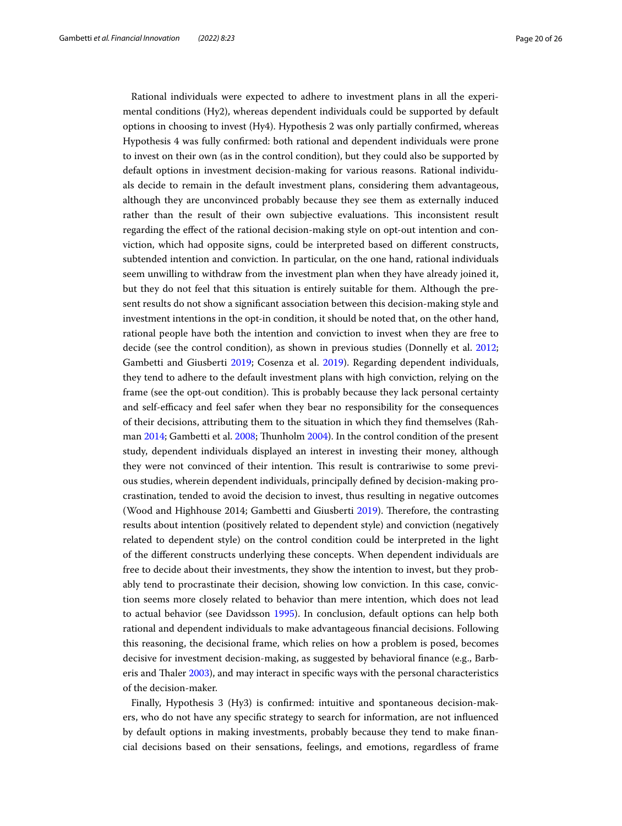Rational individuals were expected to adhere to investment plans in all the experimental conditions (Hy2), whereas dependent individuals could be supported by default options in choosing to invest (Hy4). Hypothesis 2 was only partially confrmed, whereas Hypothesis 4 was fully confrmed: both rational and dependent individuals were prone to invest on their own (as in the control condition), but they could also be supported by default options in investment decision-making for various reasons. Rational individuals decide to remain in the default investment plans, considering them advantageous, although they are unconvinced probably because they see them as externally induced rather than the result of their own subjective evaluations. This inconsistent result regarding the efect of the rational decision-making style on opt-out intention and conviction, which had opposite signs, could be interpreted based on diferent constructs, subtended intention and conviction. In particular, on the one hand, rational individuals seem unwilling to withdraw from the investment plan when they have already joined it, but they do not feel that this situation is entirely suitable for them. Although the present results do not show a signifcant association between this decision-making style and investment intentions in the opt-in condition, it should be noted that, on the other hand, rational people have both the intention and conviction to invest when they are free to decide (see the control condition), as shown in previous studies (Donnelly et al. [2012](#page-23-16); Gambetti and Giusberti [2019;](#page-23-11) Cosenza et al. [2019](#page-23-23)). Regarding dependent individuals, they tend to adhere to the default investment plans with high conviction, relying on the frame (see the opt-out condition). This is probably because they lack personal certainty and self-efficacy and feel safer when they bear no responsibility for the consequences of their decisions, attributing them to the situation in which they fnd themselves (Rahman [2014;](#page-24-39) Gambetti et al. [2008;](#page-23-26) Tunholm [2004](#page-24-40)). In the control condition of the present study, dependent individuals displayed an interest in investing their money, although they were not convinced of their intention. Tis result is contrariwise to some previous studies, wherein dependent individuals, principally defned by decision-making procrastination, tended to avoid the decision to invest, thus resulting in negative outcomes (Wood and Highhouse 2014; Gambetti and Giusberti [2019\)](#page-23-11). Therefore, the contrasting results about intention (positively related to dependent style) and conviction (negatively related to dependent style) on the control condition could be interpreted in the light of the diferent constructs underlying these concepts. When dependent individuals are free to decide about their investments, they show the intention to invest, but they probably tend to procrastinate their decision, showing low conviction. In this case, conviction seems more closely related to behavior than mere intention, which does not lead to actual behavior (see Davidsson [1995](#page-23-27)). In conclusion, default options can help both rational and dependent individuals to make advantageous fnancial decisions. Following this reasoning, the decisional frame, which relies on how a problem is posed, becomes decisive for investment decision-making, as suggested by behavioral fnance (e.g., Barberis and Taler [2003\)](#page-23-34), and may interact in specifc ways with the personal characteristics of the decision-maker.

Finally, Hypothesis 3 (Hy3) is confrmed: intuitive and spontaneous decision-makers, who do not have any specifc strategy to search for information, are not infuenced by default options in making investments, probably because they tend to make fnancial decisions based on their sensations, feelings, and emotions, regardless of frame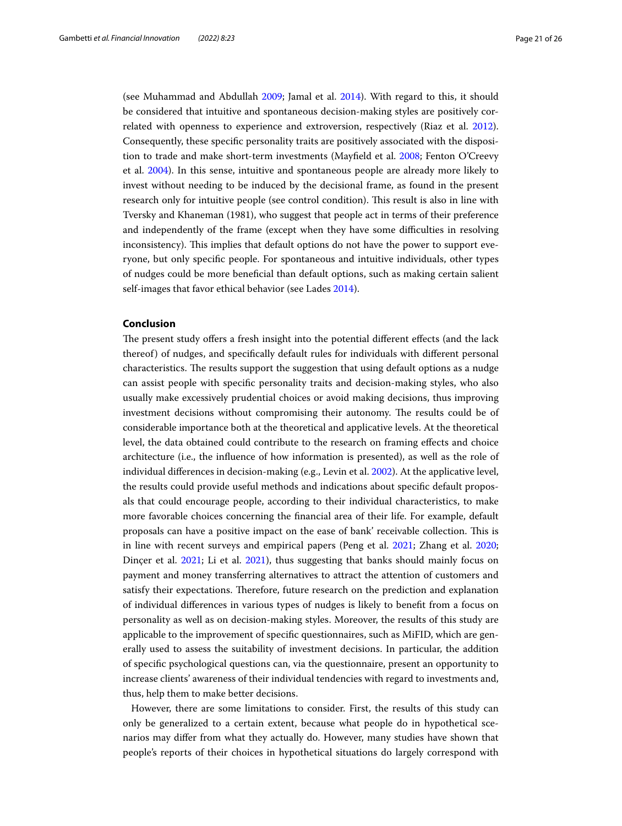(see Muhammad and Abdullah [2009](#page-24-16); Jamal et al. [2014\)](#page-23-17). With regard to this, it should be considered that intuitive and spontaneous decision-making styles are positively correlated with openness to experience and extroversion, respectively (Riaz et al. [2012](#page-24-17)). Consequently, these specifc personality traits are positively associated with the disposition to trade and make short-term investments (Mayfeld et al. [2008](#page-24-20); Fenton O'Creevy et al. [2004](#page-23-35)). In this sense, intuitive and spontaneous people are already more likely to invest without needing to be induced by the decisional frame, as found in the present research only for intuitive people (see control condition). Tis result is also in line with Tversky and Khaneman (1981), who suggest that people act in terms of their preference and independently of the frame (except when they have some difculties in resolving inconsistency). This implies that default options do not have the power to support everyone, but only specifc people. For spontaneous and intuitive individuals, other types of nudges could be more benefcial than default options, such as making certain salient self-images that favor ethical behavior (see Lades [2014\)](#page-24-41).

## **Conclusion**

The present study offers a fresh insight into the potential different effects (and the lack thereof) of nudges, and specifcally default rules for individuals with diferent personal characteristics. The results support the suggestion that using default options as a nudge can assist people with specifc personality traits and decision-making styles, who also usually make excessively prudential choices or avoid making decisions, thus improving investment decisions without compromising their autonomy. The results could be of considerable importance both at the theoretical and applicative levels. At the theoretical level, the data obtained could contribute to the research on framing efects and choice architecture (i.e., the infuence of how information is presented), as well as the role of individual diferences in decision-making (e.g., Levin et al. [2002\)](#page-24-42). At the applicative level, the results could provide useful methods and indications about specifc default proposals that could encourage people, according to their individual characteristics, to make more favorable choices concerning the fnancial area of their life. For example, default proposals can have a positive impact on the ease of bank' receivable collection. Tis is in line with recent surveys and empirical papers (Peng et al. [2021;](#page-24-43) Zhang et al. [2020](#page-25-4); Dincer et al. [2021](#page-23-36); Li et al. [2021\)](#page-24-44), thus suggesting that banks should mainly focus on payment and money transferring alternatives to attract the attention of customers and satisfy their expectations. Therefore, future research on the prediction and explanation of individual diferences in various types of nudges is likely to beneft from a focus on personality as well as on decision-making styles. Moreover, the results of this study are applicable to the improvement of specifc questionnaires, such as MiFID, which are generally used to assess the suitability of investment decisions. In particular, the addition of specifc psychological questions can, via the questionnaire, present an opportunity to increase clients' awareness of their individual tendencies with regard to investments and, thus, help them to make better decisions.

However, there are some limitations to consider. First, the results of this study can only be generalized to a certain extent, because what people do in hypothetical scenarios may difer from what they actually do. However, many studies have shown that people's reports of their choices in hypothetical situations do largely correspond with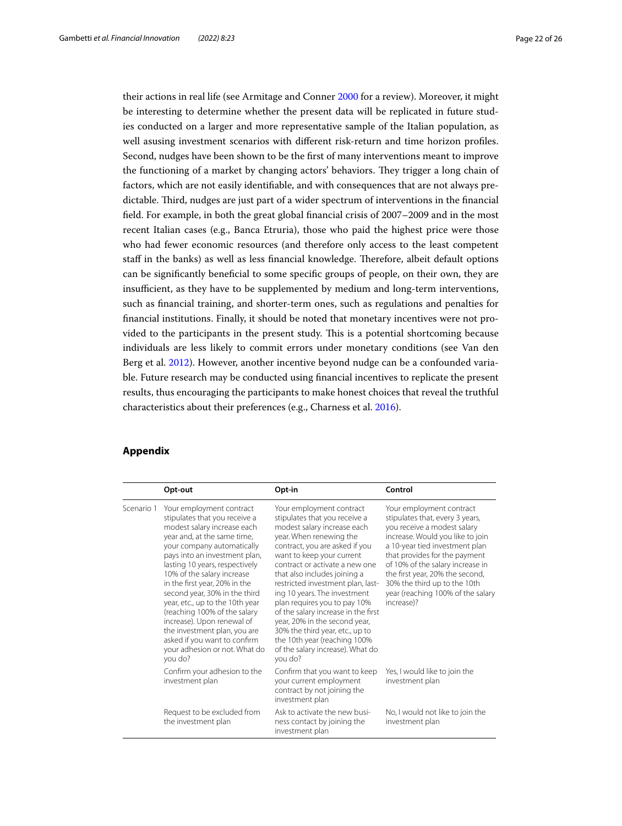their actions in real life (see Armitage and Conner [2000](#page-23-37) for a review). Moreover, it might be interesting to determine whether the present data will be replicated in future studies conducted on a larger and more representative sample of the Italian population, as well asusing investment scenarios with diferent risk-return and time horizon profles. Second, nudges have been shown to be the frst of many interventions meant to improve the functioning of a market by changing actors' behaviors. They trigger a long chain of factors, which are not easily identifable, and with consequences that are not always predictable. Tird, nudges are just part of a wider spectrum of interventions in the fnancial feld. For example, in both the great global fnancial crisis of 2007–2009 and in the most recent Italian cases (e.g., Banca Etruria), those who paid the highest price were those who had fewer economic resources (and therefore only access to the least competent staff in the banks) as well as less financial knowledge. Therefore, albeit default options can be signifcantly benefcial to some specifc groups of people, on their own, they are insufficient, as they have to be supplemented by medium and long-term interventions, such as fnancial training, and shorter-term ones, such as regulations and penalties for fnancial institutions. Finally, it should be noted that monetary incentives were not provided to the participants in the present study. This is a potential shortcoming because individuals are less likely to commit errors under monetary conditions (see Van den Berg et al. [2012](#page-25-5)). However, another incentive beyond nudge can be a confounded variable. Future research may be conducted using fnancial incentives to replicate the present results, thus encouraging the participants to make honest choices that reveal the truthful characteristics about their preferences (e.g., Charness et al. [2016\)](#page-23-38).

## **Appendix**

|            | Opt-out                                                                                                                                                                                                                                                                                                                                                                                                                                                                                                                               | Opt-in                                                                                                                                                                                                                                                                                                                                                                                                                                                                                                                                              | Control                                                                                                                                                                                                                                                                                                                                                     |
|------------|---------------------------------------------------------------------------------------------------------------------------------------------------------------------------------------------------------------------------------------------------------------------------------------------------------------------------------------------------------------------------------------------------------------------------------------------------------------------------------------------------------------------------------------|-----------------------------------------------------------------------------------------------------------------------------------------------------------------------------------------------------------------------------------------------------------------------------------------------------------------------------------------------------------------------------------------------------------------------------------------------------------------------------------------------------------------------------------------------------|-------------------------------------------------------------------------------------------------------------------------------------------------------------------------------------------------------------------------------------------------------------------------------------------------------------------------------------------------------------|
| Scenario 1 | Your employment contract<br>stipulates that you receive a<br>modest salary increase each<br>year and, at the same time,<br>your company automatically<br>pays into an investment plan,<br>lasting 10 years, respectively<br>10% of the salary increase<br>in the first year, 20% in the<br>second year, 30% in the third<br>year, etc., up to the 10th year<br>(reaching 100% of the salary<br>increase). Upon renewal of<br>the investment plan, you are<br>asked if you want to confirm<br>your adhesion or not. What do<br>you do? | Your employment contract<br>stipulates that you receive a<br>modest salary increase each<br>year. When renewing the<br>contract, you are asked if you<br>want to keep your current<br>contract or activate a new one<br>that also includes joining a<br>restricted investment plan, last-<br>ing 10 years. The investment<br>plan requires you to pay 10%<br>of the salary increase in the first<br>year, 20% in the second year,<br>30% the third year, etc., up to<br>the 10th year (reaching 100%<br>of the salary increase). What do<br>you do? | Your employment contract<br>stipulates that, every 3 years,<br>you receive a modest salary<br>increase. Would you like to join<br>a 10-year tied investment plan<br>that provides for the payment<br>of 10% of the salary increase in<br>the first year, 20% the second,<br>30% the third up to the 10th<br>year (reaching 100% of the salary<br>increase)? |
|            | Confirm your adhesion to the<br>investment plan                                                                                                                                                                                                                                                                                                                                                                                                                                                                                       | Confirm that you want to keep<br>your current employment<br>contract by not joining the<br>investment plan                                                                                                                                                                                                                                                                                                                                                                                                                                          | Yes, I would like to join the<br>investment plan                                                                                                                                                                                                                                                                                                            |
|            | Request to be excluded from<br>the investment plan                                                                                                                                                                                                                                                                                                                                                                                                                                                                                    | Ask to activate the new busi-<br>ness contact by joining the<br>investment plan                                                                                                                                                                                                                                                                                                                                                                                                                                                                     | No, I would not like to join the<br>investment plan                                                                                                                                                                                                                                                                                                         |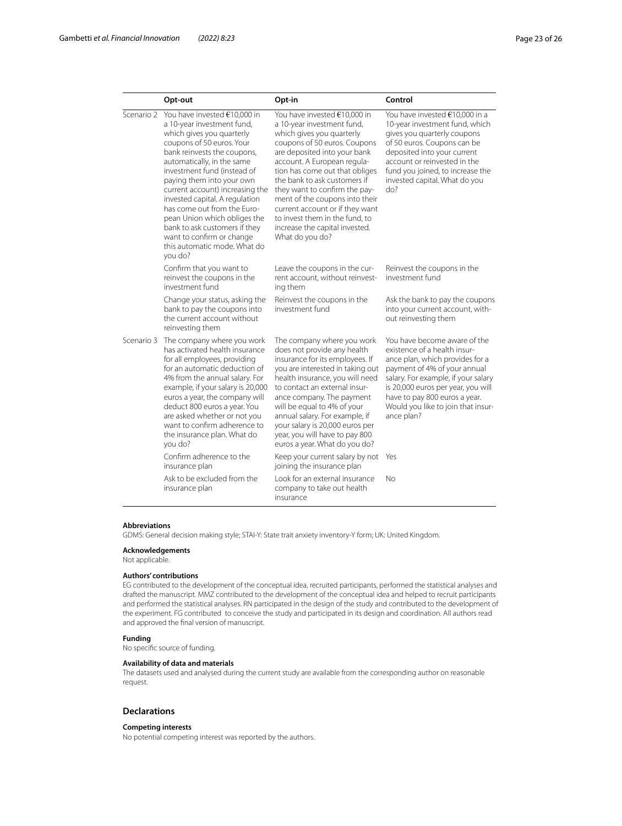|            | Opt-out                                                                                                                                                                                                                                                                                                                                                                                                                                                                                    | Opt-in                                                                                                                                                                                                                                                                                                                                                                                                                                                | Control                                                                                                                                                                                                                                                                                           |
|------------|--------------------------------------------------------------------------------------------------------------------------------------------------------------------------------------------------------------------------------------------------------------------------------------------------------------------------------------------------------------------------------------------------------------------------------------------------------------------------------------------|-------------------------------------------------------------------------------------------------------------------------------------------------------------------------------------------------------------------------------------------------------------------------------------------------------------------------------------------------------------------------------------------------------------------------------------------------------|---------------------------------------------------------------------------------------------------------------------------------------------------------------------------------------------------------------------------------------------------------------------------------------------------|
| Scenario 2 | You have invested €10,000 in<br>a 10-year investment fund,<br>which gives you quarterly<br>coupons of 50 euros. Your<br>bank reinvests the coupons,<br>automatically, in the same<br>investment fund (instead of<br>paying them into your own<br>current account) increasing the<br>invested capital. A regulation<br>has come out from the Euro-<br>pean Union which obliges the<br>bank to ask customers if they<br>want to confirm or change<br>this automatic mode. What do<br>you do? | You have invested €10,000 in<br>a 10-year investment fund,<br>which gives you quarterly<br>coupons of 50 euros. Coupons<br>are deposited into your bank<br>account. A European regula-<br>tion has come out that obliges<br>the bank to ask customers if<br>they want to confirm the pay-<br>ment of the coupons into their<br>current account or if they want<br>to invest them in the fund, to<br>increase the capital invested.<br>What do you do? | You have invested €10,000 in a<br>10-year investment fund, which<br>gives you quarterly coupons<br>of 50 euros. Coupons can be<br>deposited into your current<br>account or reinvested in the<br>fund you joined, to increase the<br>invested capital. What do you<br>do?                         |
|            | Confirm that you want to<br>reinvest the coupons in the<br>investment fund                                                                                                                                                                                                                                                                                                                                                                                                                 | Leave the coupons in the cur-<br>rent account, without reinvest-<br>ing them                                                                                                                                                                                                                                                                                                                                                                          | Reinvest the coupons in the<br>investment fund                                                                                                                                                                                                                                                    |
|            | Change your status, asking the<br>bank to pay the coupons into<br>the current account without<br>reinvesting them                                                                                                                                                                                                                                                                                                                                                                          | Reinvest the coupons in the<br>investment fund                                                                                                                                                                                                                                                                                                                                                                                                        | Ask the bank to pay the coupons<br>into your current account, with-<br>out reinvesting them                                                                                                                                                                                                       |
| Scenario 3 | The company where you work<br>has activated health insurance<br>for all employees, providing<br>for an automatic deduction of<br>4% from the annual salary. For<br>example, if your salary is 20,000<br>euros a year, the company will<br>deduct 800 euros a year. You<br>are asked whether or not you<br>want to confirm adherence to<br>the insurance plan. What do<br>you do?                                                                                                           | The company where you work<br>does not provide any health<br>insurance for its employees. If<br>you are interested in taking out<br>health insurance, you will need<br>to contact an external insur-<br>ance company. The payment<br>will be equal to 4% of your<br>annual salary. For example, if<br>your salary is 20,000 euros per<br>year, you will have to pay 800<br>euros a year. What do you do?                                              | You have become aware of the<br>existence of a health insur-<br>ance plan, which provides for a<br>payment of 4% of your annual<br>salary. For example, if your salary<br>is 20,000 euros per year, you will<br>have to pay 800 euros a year.<br>Would you like to join that insur-<br>ance plan? |
|            | Confirm adherence to the<br>insurance plan                                                                                                                                                                                                                                                                                                                                                                                                                                                 | Keep your current salary by not<br>joining the insurance plan                                                                                                                                                                                                                                                                                                                                                                                         | Yes                                                                                                                                                                                                                                                                                               |
|            | Ask to be excluded from the<br>insurance plan                                                                                                                                                                                                                                                                                                                                                                                                                                              | Look for an external insurance<br>company to take out health<br>insurance                                                                                                                                                                                                                                                                                                                                                                             | No                                                                                                                                                                                                                                                                                                |

#### **Abbreviations**

GDMS: General decision making style; STAI-Y: State trait anxiety inventory-Y form; UK: United Kingdom.

#### **Acknowledgements**

Not applicable.

#### **Authors' contributions**

EG contributed to the development of the conceptual idea, recruited participants, performed the statistical analyses and drafted the manuscript. MMZ contributed to the development of the conceptual idea and helped to recruit participants and performed the statistical analyses. RN participated in the design of the study and contributed to the development of the experiment. FG contributed to conceive the study and participated in its design and coordination. All authors read and approved the fnal version of manuscript.

#### **Funding**

No specifc source of funding.

#### **Availability of data and materials**

The datasets used and analysed during the current study are available from the corresponding author on reasonable request.

### **Declarations**

#### **Competing interests**

No potential competing interest was reported by the authors.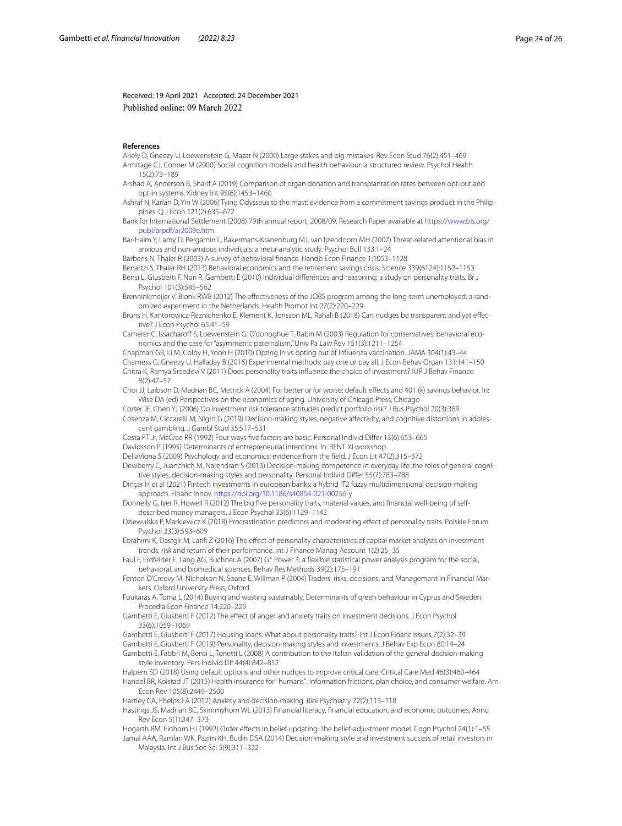Received: 19 April 2021 Accepted: 24 December 2021 Published online: 09 March 2022

#### **References**

<span id="page-23-37"></span><span id="page-23-12"></span>Ariely D, Gneezy U, Loewenstein G, Mazar N (2009) Large stakes and big mistakes. Rev Econ Stud 76(2):451–469 Armitage CJ, Conner M (2000) Social cognition models and health behaviour: a structured review. Psychol Health 15(2):73–189

<span id="page-23-5"></span>Arshad A, Anderson B, Sharif A (2019) Comparison of organ donation and transplantation rates between opt-out and opt-in systems. Kidney Int 95(6):1453–1460

<span id="page-23-7"></span>Ashraf N, Karlan D, Yin W (2006) Tying Odysseus to the mast: evidence from a commitment savings product in the Philippines. Q J Econ 121(2):635–672

<span id="page-23-14"></span>Bank for International Settlement (2008) 79th annual report, 2008/09. Research Paper available at [https://www.bis.org/](https://www.bis.org/publ/arpdf/ar2009e.htm) [publ/arpdf/ar2009e.htm](https://www.bis.org/publ/arpdf/ar2009e.htm)

<span id="page-23-30"></span>Bar-Haim Y, Lamy D, Pergamin L, Bakermans-Kranenburg MJ, van Ijzendoorn MH (2007) Threat-related attentional bias in anxious and non-anxious individuals: a meta-analytic study. Psychol Bull 133:1–24

<span id="page-23-34"></span>Barberis N, Thaler R (2003) A survey of behavioral fnance. Handb Econ Finance 1:1053–1128

<span id="page-23-32"></span><span id="page-23-1"></span>Benartzi S, Thaler RH (2013) Behavioral economics and the retirement savings crisis. Science 339(6124):1152–1153 Bensi L, Giusberti F, Nori R, Gambetti E (2010) Individual diferences and reasoning: a study on personality traits. Br J Psychol 101(3):545–562

- <span id="page-23-2"></span>Brenninkmeijer V, Blonk RWB (2012) The efectiveness of the JOBS program among the long-term unemployed: a randomized experiment in the Netherlands. Health Promot Int 27(2):220–229
- <span id="page-23-24"></span>Bruns H, Kantorowicz-Reznichenko E, Klement K, Jonsson ML, Rahali B (2018) Can nudges be transparent and yet efective? J Econ Psychol 65:41–59

<span id="page-23-8"></span>Camerer C, Issacharoff S, Loewenstein G, O'donoghue T, Rabin M (2003) Regulation for conservatives: behavioral economics and the case for "asymmetric paternalism." Univ Pa Law Rev 151(3):1211–1254

<span id="page-23-38"></span><span id="page-23-19"></span><span id="page-23-4"></span>Chapman GB, Li M, Colby H, Yoon H (2010) Opting in vs opting out of infuenza vaccination. JAMA 304(1):43–44 Charness G, Gneezy U, Halladay B (2016) Experimental methods: pay one or pay all. J Econ Behav Organ 131:141–150 Chitra K, Ramya Sreedevi V (2011) Does personality traits infuence the choice of investment? IUP J Behav Finance 8(2):47–57

<span id="page-23-6"></span>Choi JJ, Laibson D, Madrian BC, Metrick A (2004) For better or for worse: default efects and 401 (k) savings behavior. In: Wise DA (ed) Perspectives on the economics of aging. University of Chicago Press, Chicago

<span id="page-23-29"></span><span id="page-23-23"></span>Corter JE, Chen YJ (2006) Do investment risk tolerance attitudes predict portfolio risk? J Bus Psychol 20(3):369 Cosenza M, Ciccarelli M, Nigro G (2019) Decision-making styles, negative afectivity, and cognitive distortions in adoles-

<span id="page-23-21"></span>cent gambling. J Gambl Stud 35:517–531 Costa PT Jr, McCrae RR (1992) Four ways fve factors are basic. Personal Individ Difer 13(6):653–665

<span id="page-23-27"></span>Davidsson P (1995) Determinants of entrepreneurial intentions. In: RENT XI workshop

<span id="page-23-9"></span>DellaVigna S (2009) Psychology and economics: evidence from the feld. J Econ Lit 47(2):315–372

<span id="page-23-22"></span>Dewberry C, Juanchich M, Narendran S (2013) Decision-making competence in everyday life: the roles of general cognitive styles, decision-making styles and personality. Personal Individ Difer 55(7):783–788

<span id="page-23-36"></span>Dinçer H et al (2021) Fintech investments in european banks: a hybrid IT2 fuzzy multidimensional decision-making approach. Financ Innov.<https://doi.org/10.1186/s40854-021-00256-y>

<span id="page-23-16"></span>Donnelly G, Iyer R, Howell R (2012) The big fve personality traits, material values, and fnancial well-being of selfdescribed money managers. J Econ Psychol 33(6):1129–1142

<span id="page-23-33"></span>Dziewulska P, Markiewicz K (2018) Procrastination predictors and moderating efect of personality traits. Polskie Forum Psychol 23(3):593–609

<span id="page-23-20"></span>Ebrahimi K, Dastgir M, Latif Z (2016) The efect of personality characteristics of capital market analysts on investment trends, risk and return of their performance. Int J Finance Manag Account 1(2):25–35

<span id="page-23-25"></span>Faul F, Erdfelder E, Lang AG, Buchner A (2007) G\* Power 3: a fexible statistical power analysis program for the social, behavioral, and biomedical sciences. Behav Res Methods 39(2):175–191

- <span id="page-23-35"></span>Fenton O'Creevy M, Nicholson N, Soane E, Willman P (2004) Traders: risks, decisions, and Management in Financial Markets. Oxford University Press, Oxford
- <span id="page-23-3"></span>Foukaras A, Toma L (2014) Buying and wasting sustainably. Determinants of green behaviour in Cyprus and Sweden. Procedia Econ Finance 14:220–229
- <span id="page-23-13"></span>Gambetti E, Giusberti F (2012) The efect of anger and anxiety traits on investment decisions. J Econ Psychol 33(6):1059–1069

<span id="page-23-18"></span>Gambetti E, Giusberti F (2017) Housing loans: What about personality traits? Int J Econ Financ Issues 7(2):32–39

<span id="page-23-11"></span>Gambetti E, Giusberti F (2019) Personality, decision-making styles and investments. J Behav Exp Econ 80:14–24

<span id="page-23-26"></span>Gambetti E, Fabbri M, Bensi L, Tonetti L (2008) A contribution to the Italian validation of the general decision-making style inventory. Pers Individ Dif 44(4):842–852

<span id="page-23-15"></span><span id="page-23-0"></span>Halpern SD (2018) Using default options and other nudges to improve critical care. Critical Care Med 46(3):460–464 Handel BR, Kolstad JT (2015) Health insurance for" humans": information frictions, plan choice, and consumer welfare. Am Econ Rev 105(8):2449–2500

<span id="page-23-31"></span>Hartley CA, Phelps EA (2012) Anxiety and decision-making. Biol Psychiatry 72(2):113–118

<span id="page-23-10"></span>Hastings JS, Madrian BC, Skimmyhorn WL (2013) Financial literacy, fnancial education, and economic outcomes. Annu Rev Econ 5(1):347–373

<span id="page-23-28"></span>Hogarth RM, Einhorn HJ (1992) Order efects in belief updating: The belief-adjustment model. Cogn Psychol 24(1):1–55

<span id="page-23-17"></span>Jamal AAA, Ramlan WK, Pazim KH, Budin DSA (2014) Decision-making style and investment success of retail investors in Malaysia. Int J Bus Soc Sci 5(9):311–322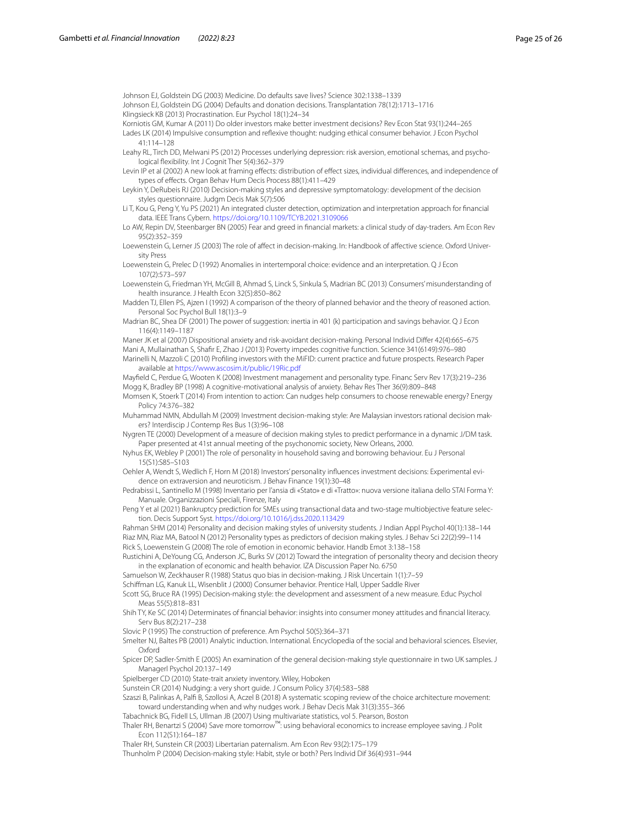<span id="page-24-4"></span>Johnson EJ, Goldstein DG (2003) Medicine. Do defaults save lives? Science 302:1338–1339

<span id="page-24-38"></span><span id="page-24-28"></span>Johnson EJ, Goldstein DG (2004) Defaults and donation decisions. Transplantation 78(12):1713–1716 Klingsieck KB (2013) Procrastination. Eur Psychol 18(1):24–34

<span id="page-24-41"></span><span id="page-24-36"></span>Korniotis GM, Kumar A (2011) Do older investors make better investment decisions? Rev Econ Stat 93(1):244–265 Lades LK (2014) Impulsive consumption and refexive thought: nudging ethical consumer behavior. J Econ Psychol 41:114–128

<span id="page-24-23"></span>Leahy RL, Tirch DD, Melwani PS (2012) Processes underlying depression: risk aversion, emotional schemas, and psychological fexibility. Int J Cognit Ther 5(4):362–379

<span id="page-24-42"></span>Levin IP et al (2002) A new look at framing efects: distribution of efect sizes, individual diferences, and independence of types of efects. Organ Behav Hum Decis Process 88(1):411–429

<span id="page-24-26"></span>Leykin Y, DeRubeis RJ (2010) Decision-making styles and depressive symptomatology: development of the decision styles questionnaire. Judgm Decis Mak 5(7):506

<span id="page-24-44"></span>Li T, Kou G, Peng Y, Yu PS (2021) An integrated cluster detection, optimization and interpretation approach for fnancial data. IEEE Trans Cybern. <https://doi.org/10.1109/TCYB.2021.3109066>

<span id="page-24-19"></span>Lo AW, Repin DV, Steenbarger BN (2005) Fear and greed in fnancial markets: a clinical study of day-traders. Am Econ Rev 95(2):352–359

<span id="page-24-9"></span>Loewenstein G, Lerner JS (2003) The role of afect in decision-making. In: Handbook of afective science. Oxford University Press

<span id="page-24-10"></span>Loewenstein G, Prelec D (1992) Anomalies in intertemporal choice: evidence and an interpretation. Q J Econ 107(2):573–597

<span id="page-24-15"></span>Loewenstein G, Friedman YH, McGill B, Ahmad S, Linck S, Sinkula S, Madrian BC (2013) Consumers' misunderstanding of health insurance. J Health Econ 32(5):850–862

<span id="page-24-29"></span>Madden TJ, Ellen PS, Ajzen I (1992) A comparison of the theory of planned behavior and the theory of reasoned action. Personal Soc Psychol Bull 18(1):3–9

<span id="page-24-5"></span>Madrian BC, Shea DF (2001) The power of suggestion: inertia in 401 (k) participation and savings behavior. Q J Econ 116(4):1149–1187

<span id="page-24-27"></span><span id="page-24-14"></span><span id="page-24-7"></span>Maner JK et al (2007) Dispositional anxiety and risk-avoidant decision-making. Personal Individ Difer 42(4):665–675 Mani A, Mullainathan S, Shafr E, Zhao J (2013) Poverty impedes cognitive function. Science 341(6149):976–980 Marinelli N, Mazzoli C (2010) Profling investors with the MiFID: current practice and future prospects. Research Paper available at <https://www.ascosim.it/public/19Ric.pdf>

<span id="page-24-37"></span><span id="page-24-20"></span>Mayfeld C, Perdue G, Wooten K (2008) Investment management and personality type. Financ Serv Rev 17(3):219–236 Mogg K, Bradley BP (1998) A cognitive-motivational analysis of anxiety. Behav Res Ther 36(9):809–848

<span id="page-24-1"></span>Momsen K, Stoerk T (2014) From intention to action: Can nudges help consumers to choose renewable energy? Energy Policy 74:376–382

<span id="page-24-16"></span>Muhammad NMN, Abdullah M (2009) Investment decision-making style: Are Malaysian investors rational decision makers? Interdiscip J Contemp Res Bus 1(3):96–108

<span id="page-24-25"></span>Nygren TE (2000) Development of a measure of decision making styles to predict performance in a dynamic J/DM task. Paper presented at 41st annual meeting of the psychonomic society, New Orleans, 2000.

<span id="page-24-22"></span>Nyhus EK, Webley P (2001) The role of personality in household saving and borrowing behaviour. Eu J Personal 15(S1):S85–S103

<span id="page-24-21"></span>Oehler A, Wendt S, Wedlich F, Horn M (2018) Investors' personality infuences investment decisions: Experimental evidence on extraversion and neuroticism. J Behav Finance 19(1):30–48

<span id="page-24-32"></span>Pedrabissi L, Santinello M (1998) Inventario per l'ansia di «Stato» e di «Tratto»: nuova versione italiana dello STAI Forma Y: Manuale. Organizzazioni Speciali, Firenze, Italy

<span id="page-24-43"></span>Peng Y et al (2021) Bankruptcy prediction for SMEs using transactional data and two-stage multiobjective feature selection. Decis Support Syst.<https://doi.org/10.1016/j.dss.2020.113429>

<span id="page-24-39"></span><span id="page-24-17"></span>Rahman SHM (2014) Personality and decision making styles of university students. J Indian Appl Psychol 40(1):138–144 Riaz MN, Riaz MA, Batool N (2012) Personality types as predictors of decision making styles. J Behav Sci 22(2):99–114 Rick S, Loewenstein G (2008) The role of emotion in economic behavior. Handb Emot 3:138–158

<span id="page-24-18"></span><span id="page-24-11"></span>Rustichini A, DeYoung CG, Anderson JC, Burks SV (2012) Toward the integration of personality theory and decision theory in the explanation of economic and health behavior. IZA Discussion Paper No. 6750

<span id="page-24-3"></span>Samuelson W, Zeckhauser R (1988) Status quo bias in decision-making. J Risk Uncertain 1(1):7–59

<span id="page-24-30"></span>Schifman LG, Kanuk LL, Wisenblit J (2000) Consumer behavior. Prentice Hall, Upper Saddle River

<span id="page-24-24"></span>Scott SG, Bruce RA (1995) Decision-making style: the development and assessment of a new measure. Educ Psychol Meas 55(5):818–831

<span id="page-24-13"></span>Shih TY, Ke SC (2014) Determinates of fnancial behavior: insights into consumer money attitudes and fnancial literacy. Serv Bus 8(2):217–238

<span id="page-24-8"></span>Slovic P (1995) The construction of preference. Am Psychol 50(5):364–371

<span id="page-24-12"></span>Smelter NJ, Baltes PB (2001) Analytic induction. International. Encyclopedia of the social and behavioral sciences. Elsevier, Oxford

<span id="page-24-34"></span>Spicer DP, Sadler-Smith E (2005) An examination of the general decision-making style questionnaire in two UK samples. J Managerl Psychol 20:137–149

<span id="page-24-31"></span>Spielberger CD (2010) State-trait anxiety inventory. Wiley, Hoboken

<span id="page-24-0"></span>Sunstein CR (2014) Nudging: a very short guide. J Consum Policy 37(4):583–588

<span id="page-24-2"></span>Szaszi B, Palinkas A, Palf B, Szollosi A, Aczel B (2018) A systematic scoping review of the choice architecture movement: toward understanding when and why nudges work. J Behav Decis Mak 31(3):355–366

<span id="page-24-35"></span>Tabachnick BG, Fidell LS, Ullman JB (2007) Using multivariate statistics, vol 5. Pearson, Boston

<span id="page-24-33"></span>Thaler RH, Benartzi S (2004) Save more tomorrow™: using behavioral economics to increase employee saving. J Polit Econ 112(S1):164–187

<span id="page-24-6"></span>Thaler RH, Sunstein CR (2003) Libertarian paternalism. Am Econ Rev 93(2):175–179

<span id="page-24-40"></span>Thunholm P (2004) Decision-making style: Habit, style or both? Pers Individ Dif 36(4):931–944